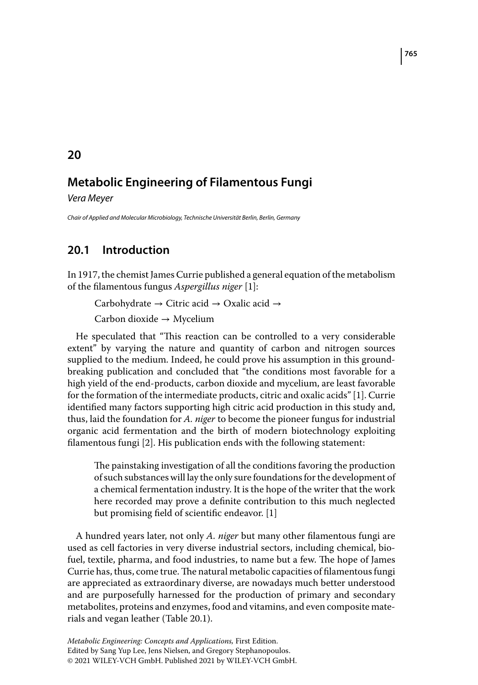#### Vera Meyer

Chair of Applied and Molecular Microbiology, Technische Universität Berlin, Berlin, Germany

# **20.1 Introduction**

In 1917, the chemist James Currie published a general equation of the metabolism of the filamentous fungus *Aspergillus niger* [1]:

Carbohydrate → Citric acid → Oxalic acid →

Carbon dioxide → Mycelium

He speculated that "This reaction can be controlled to a very considerable extent" by varying the nature and quantity of carbon and nitrogen sources supplied to the medium. Indeed, he could prove his assumption in this groundbreaking publication and concluded that "the conditions most favorable for a high yield of the end-products, carbon dioxide and mycelium, are least favorable for the formation of the intermediate products, citric and oxalic acids" [1]. Currie identified many factors supporting high citric acid production in this study and, thus, laid the foundation for *A. niger* to become the pioneer fungus for industrial organic acid fermentation and the birth of modern biotechnology exploiting filamentous fungi [2]. His publication ends with the following statement:

The painstaking investigation of all the conditions favoring the production of such substances will lay the only sure foundations for the development of a chemical fermentation industry. It is the hope of the writer that the work here recorded may prove a definite contribution to this much neglected but promising field of scientific endeavor. [1]

A hundred years later, not only *A. niger* but many other filamentous fungi are used as cell factories in very diverse industrial sectors, including chemical, biofuel, textile, pharma, and food industries, to name but a few. The hope of James Currie has, thus, come true. The natural metabolic capacities of filamentous fungi are appreciated as extraordinary diverse, are nowadays much better understood and are purposefully harnessed for the production of primary and secondary metabolites, proteins and enzymes, food and vitamins, and even composite materials and vegan leather (Table 20.1).

### **20**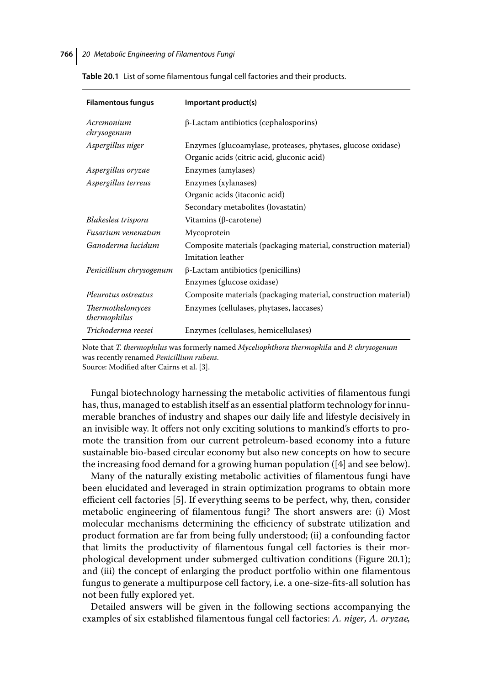| <b>Filamentous fungus</b>        | Important product(s)                                            |
|----------------------------------|-----------------------------------------------------------------|
| Acremonium<br>chrysogenum        | $\beta$ -Lactam antibiotics (cephalosporins)                    |
| Aspergillus niger                | Enzymes (glucoamylase, proteases, phytases, glucose oxidase)    |
|                                  | Organic acids (citric acid, gluconic acid)                      |
| Aspergillus oryzae               | Enzymes (amylases)                                              |
| Aspergillus terreus              | Enzymes (xylanases)                                             |
|                                  | Organic acids (itaconic acid)                                   |
|                                  | Secondary metabolites (lovastatin)                              |
| Blakeslea trispora               | Vitamins ( $\beta$ -carotene)                                   |
| Fusarium venenatum               | Mycoprotein                                                     |
| Ganoderma lucidum                | Composite materials (packaging material, construction material) |
|                                  | Imitation leather                                               |
| Penicillium chrysogenum          | $\beta$ -Lactam antibiotics (penicillins)                       |
|                                  | Enzymes (glucose oxidase)                                       |
| Pleurotus ostreatus              | Composite materials (packaging material, construction material) |
| Thermothelomyces<br>thermophilus | Enzymes (cellulases, phytases, laccases)                        |
| Trichoderma reesei               | Enzymes (cellulases, hemicellulases)                            |
|                                  |                                                                 |

**Table 20.1** List of some filamentous fungal cell factories and their products.

Note that *T. thermophilus* was formerly named *Myceliophthora thermophila* and *P. chrysogenum* was recently renamed *Penicillium rubens*.

Source: Modified after Cairns et al. [3].

Fungal biotechnology harnessing the metabolic activities of filamentous fungi has, thus, managed to establish itself as an essential platform technology for innumerable branches of industry and shapes our daily life and lifestyle decisively in an invisible way. It offers not only exciting solutions to mankind's efforts to promote the transition from our current petroleum-based economy into a future sustainable bio-based circular economy but also new concepts on how to secure the increasing food demand for a growing human population ([4] and see below).

Many of the naturally existing metabolic activities of filamentous fungi have been elucidated and leveraged in strain optimization programs to obtain more efficient cell factories [5]. If everything seems to be perfect, why, then, consider metabolic engineering of filamentous fungi? The short answers are: (i) Most molecular mechanisms determining the efficiency of substrate utilization and product formation are far from being fully understood; (ii) a confounding factor that limits the productivity of filamentous fungal cell factories is their morphological development under submerged cultivation conditions (Figure 20.1); and (iii) the concept of enlarging the product portfolio within one filamentous fungus to generate a multipurpose cell factory, i.e. a one-size-fits-all solution has not been fully explored yet.

Detailed answers will be given in the following sections accompanying the examples of six established filamentous fungal cell factories: *A. niger, A. oryzae,*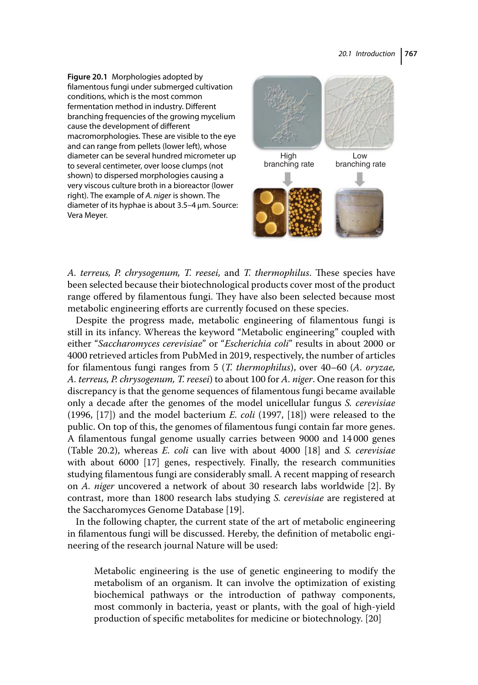**Figure 20.1** Morphologies adopted by filamentous fungi under submerged cultivation conditions, which is the most common fermentation method in industry. Different branching frequencies of the growing mycelium cause the development of different macromorphologies. These are visible to the eye and can range from pellets (lower left), whose diameter can be several hundred micrometer up to several centimeter, over loose clumps (not shown) to dispersed morphologies causing a very viscous culture broth in a bioreactor (lower right). The example of A. niger is shown. The diameter of its hyphae is about 3.5–4 μm. Source: Vera Meyer.



*A. terreus, P. chrysogenum, T. reesei,* and *T. thermophilus*. These species have been selected because their biotechnological products cover most of the product range offered by filamentous fungi. They have also been selected because most metabolic engineering efforts are currently focused on these species.

Despite the progress made, metabolic engineering of filamentous fungi is still in its infancy. Whereas the keyword "Metabolic engineering" coupled with either "*Saccharomyces cerevisiae*" or "*Escherichia coli*" results in about 2000 or 4000 retrieved articles from PubMed in 2019, respectively, the number of articles for filamentous fungi ranges from 5 (*T. thermophilus*), over 40–60 (*A. oryzae, A. terreus, P. chrysogenum, T. reesei*) to about 100 for *A. niger*. One reason for this discrepancy is that the genome sequences of filamentous fungi became available only a decade after the genomes of the model unicellular fungus *S. cerevisiae* (1996, [17]) and the model bacterium *E. coli* (1997, [18]) were released to the public. On top of this, the genomes of filamentous fungi contain far more genes. A filamentous fungal genome usually carries between 9000 and 14 000 genes (Table 20.2), whereas *E. coli* can live with about 4000 [18] and *S. cerevisiae* with about 6000 [17] genes, respectively. Finally, the research communities studying filamentous fungi are considerably small. A recent mapping of research on *A. niger* uncovered a network of about 30 research labs worldwide [2]. By contrast, more than 1800 research labs studying *S. cerevisiae* are registered at the Saccharomyces Genome Database [19].

In the following chapter, the current state of the art of metabolic engineering in filamentous fungi will be discussed. Hereby, the definition of metabolic engineering of the research journal Nature will be used:

Metabolic engineering is the use of genetic engineering to modify the metabolism of an organism. It can involve the optimization of existing biochemical pathways or the introduction of pathway components, most commonly in bacteria, yeast or plants, with the goal of high-yield production of specific metabolites for medicine or biotechnology. [20]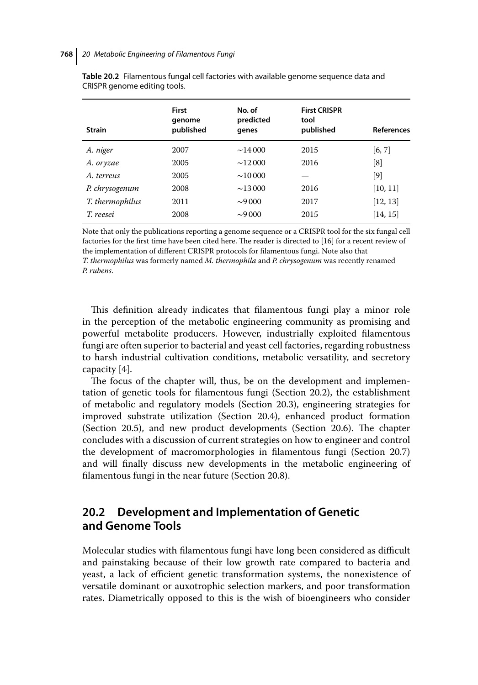| <b>Strain</b>   | <b>First</b><br>qenome<br>published | No. of<br>predicted<br>genes | <b>First CRISPR</b><br>tool<br>published | <b>References</b> |
|-----------------|-------------------------------------|------------------------------|------------------------------------------|-------------------|
| A. niger        | 2007                                | $\sim$ 14000                 | 2015                                     | [6, 7]            |
| A. oryzae       | 2005                                | $\sim$ 12000                 | 2016                                     | [8]               |
| A terreus       | 2005                                | $\sim 10000$                 |                                          | [9]               |
| P. chrysogenum  | 2008                                | $\sim$ 13000                 | 2016                                     | [10, 11]          |
| T. thermophilus | 2011                                | $\sim 9000$                  | 2017                                     | [12, 13]          |
| T. reesei       | 2008                                | $\sim 9000$                  | 2015                                     | [14, 15]          |

**Table 20.2** Filamentous fungal cell factories with available genome sequence data and CRISPR genome editing tools.

Note that only the publications reporting a genome sequence or a CRISPR tool for the six fungal cell factories for the first time have been cited here. The reader is directed to [16] for a recent review of the implementation of different CRISPR protocols for filamentous fungi. Note also that *T. thermophilus* was formerly named *M. thermophila* and *P. chrysogenum* was recently renamed *P. rubens*.

This definition already indicates that filamentous fungi play a minor role in the perception of the metabolic engineering community as promising and powerful metabolite producers. However, industrially exploited filamentous fungi are often superior to bacterial and yeast cell factories, regarding robustness to harsh industrial cultivation conditions, metabolic versatility, and secretory capacity [4].

The focus of the chapter will, thus, be on the development and implementation of genetic tools for filamentous fungi (Section 20.2), the establishment of metabolic and regulatory models (Section 20.3), engineering strategies for improved substrate utilization (Section 20.4), enhanced product formation (Section 20.5), and new product developments (Section 20.6). The chapter concludes with a discussion of current strategies on how to engineer and control the development of macromorphologies in filamentous fungi (Section 20.7) and will finally discuss new developments in the metabolic engineering of filamentous fungi in the near future (Section 20.8).

## **20.2 Development and Implementation of Genetic and Genome Tools**

Molecular studies with filamentous fungi have long been considered as difficult and painstaking because of their low growth rate compared to bacteria and yeast, a lack of efficient genetic transformation systems, the nonexistence of versatile dominant or auxotrophic selection markers, and poor transformation rates. Diametrically opposed to this is the wish of bioengineers who consider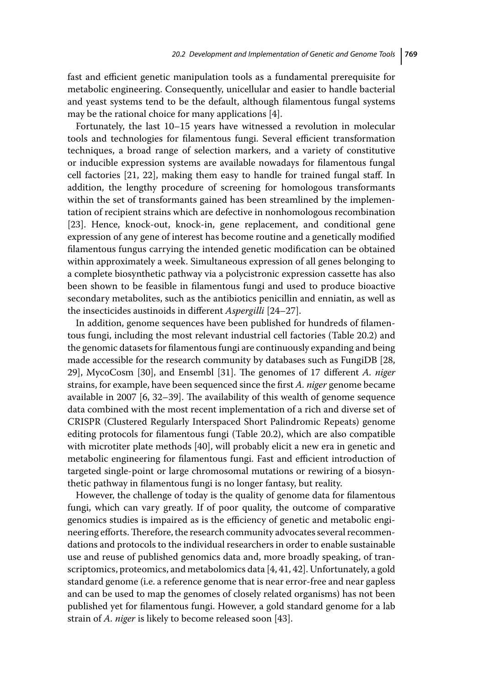fast and efficient genetic manipulation tools as a fundamental prerequisite for metabolic engineering. Consequently, unicellular and easier to handle bacterial and yeast systems tend to be the default, although filamentous fungal systems may be the rational choice for many applications [4].

Fortunately, the last 10–15 years have witnessed a revolution in molecular tools and technologies for filamentous fungi. Several efficient transformation techniques, a broad range of selection markers, and a variety of constitutive or inducible expression systems are available nowadays for filamentous fungal cell factories [21, 22], making them easy to handle for trained fungal staff. In addition, the lengthy procedure of screening for homologous transformants within the set of transformants gained has been streamlined by the implementation of recipient strains which are defective in nonhomologous recombination [23]. Hence, knock-out, knock-in, gene replacement, and conditional gene expression of any gene of interest has become routine and a genetically modified filamentous fungus carrying the intended genetic modification can be obtained within approximately a week. Simultaneous expression of all genes belonging to a complete biosynthetic pathway via a polycistronic expression cassette has also been shown to be feasible in filamentous fungi and used to produce bioactive secondary metabolites, such as the antibiotics penicillin and enniatin, as well as the insecticides austinoids in different *Aspergilli* [24–27].

In addition, genome sequences have been published for hundreds of filamentous fungi, including the most relevant industrial cell factories (Table 20.2) and the genomic datasets for filamentous fungi are continuously expanding and being made accessible for the research community by databases such as FungiDB [28, 29], MycoCosm [30], and Ensembl [31]. The genomes of 17 different *A. niger* strains, for example, have been sequenced since the first *A. niger* genome became available in 2007 [6, 32–39]. The availability of this wealth of genome sequence data combined with the most recent implementation of a rich and diverse set of CRISPR (Clustered Regularly Interspaced Short Palindromic Repeats) genome editing protocols for filamentous fungi (Table 20.2), which are also compatible with microtiter plate methods [40], will probably elicit a new era in genetic and metabolic engineering for filamentous fungi. Fast and efficient introduction of targeted single-point or large chromosomal mutations or rewiring of a biosynthetic pathway in filamentous fungi is no longer fantasy, but reality.

However, the challenge of today is the quality of genome data for filamentous fungi, which can vary greatly. If of poor quality, the outcome of comparative genomics studies is impaired as is the efficiency of genetic and metabolic engineering efforts.Therefore, the research community advocates several recommendations and protocols to the individual researchers in order to enable sustainable use and reuse of published genomics data and, more broadly speaking, of transcriptomics, proteomics, and metabolomics data [4, 41, 42]. Unfortunately, a gold standard genome (i.e. a reference genome that is near error-free and near gapless and can be used to map the genomes of closely related organisms) has not been published yet for filamentous fungi. However, a gold standard genome for a lab strain of *A. niger* is likely to become released soon [43].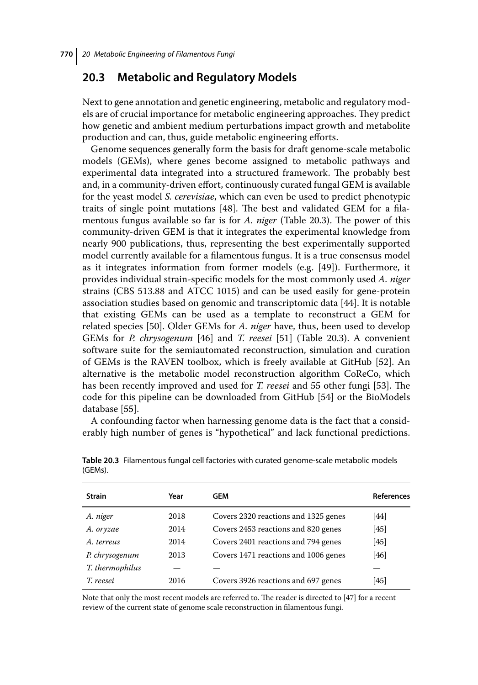### **20.3 Metabolic and Regulatory Models**

Next to gene annotation and genetic engineering, metabolic and regulatory models are of crucial importance for metabolic engineering approaches. They predict how genetic and ambient medium perturbations impact growth and metabolite production and can, thus, guide metabolic engineering efforts.

Genome sequences generally form the basis for draft genome-scale metabolic models (GEMs), where genes become assigned to metabolic pathways and experimental data integrated into a structured framework. The probably best and, in a community-driven effort, continuously curated fungal GEM is available for the yeast model *S. cerevisiae*, which can even be used to predict phenotypic traits of single point mutations [48]. The best and validated GEM for a filamentous fungus available so far is for *A. niger* (Table 20.3). The power of this community-driven GEM is that it integrates the experimental knowledge from nearly 900 publications, thus, representing the best experimentally supported model currently available for a filamentous fungus. It is a true consensus model as it integrates information from former models (e.g. [49]). Furthermore, it provides individual strain-specific models for the most commonly used *A. niger* strains (CBS 513.88 and ATCC 1015) and can be used easily for gene-protein association studies based on genomic and transcriptomic data [44]. It is notable that existing GEMs can be used as a template to reconstruct a GEM for related species [50]. Older GEMs for *A. niger* have, thus, been used to develop GEMs for *P. chrysogenum* [46] and *T. reesei* [51] (Table 20.3). A convenient software suite for the semiautomated reconstruction, simulation and curation of GEMs is the RAVEN toolbox, which is freely available at GitHub [52]. An alternative is the metabolic model reconstruction algorithm CoReCo, which has been recently improved and used for *T. reesei* and 55 other fungi [53]. The code for this pipeline can be downloaded from GitHub [54] or the BioModels database [55].

A confounding factor when harnessing genome data is the fact that a considerably high number of genes is "hypothetical" and lack functional predictions.

| <b>Strain</b>   | Year | GEM                                  | <b>References</b> |
|-----------------|------|--------------------------------------|-------------------|
| A. niger        | 2018 | Covers 2320 reactions and 1325 genes | [44]              |
| A. oryzae       | 2014 | Covers 2453 reactions and 820 genes  | [45]              |
| A. terreus      | 2014 | Covers 2401 reactions and 794 genes  | [45]              |
| P. chrysogenum  | 2013 | Covers 1471 reactions and 1006 genes | [46]              |
| T. thermophilus |      |                                      |                   |
| T. reesei       | 2016 | Covers 3926 reactions and 697 genes  | [45]              |

**Table 20.3** Filamentous fungal cell factories with curated genome-scale metabolic models (GEMs).

Note that only the most recent models are referred to. The reader is directed to [47] for a recent review of the current state of genome scale reconstruction in filamentous fungi.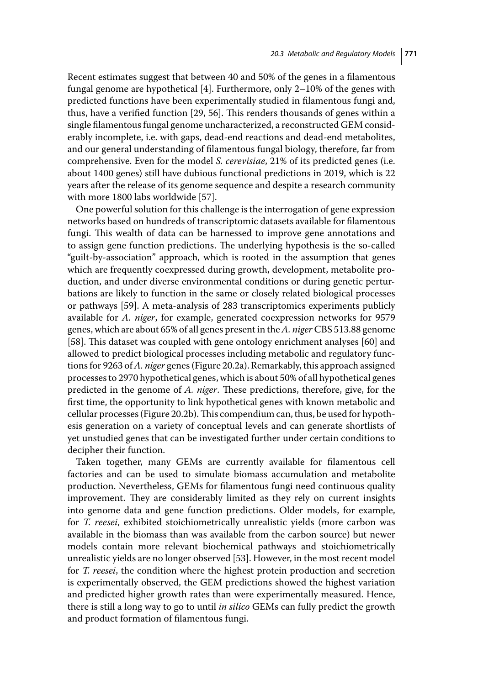Recent estimates suggest that between 40 and 50% of the genes in a filamentous fungal genome are hypothetical [4]. Furthermore, only 2–10% of the genes with predicted functions have been experimentally studied in filamentous fungi and, thus, have a verified function [29, 56]. This renders thousands of genes within a single filamentous fungal genome uncharacterized, a reconstructed GEM considerably incomplete, i.e. with gaps, dead-end reactions and dead-end metabolites, and our general understanding of filamentous fungal biology, therefore, far from comprehensive. Even for the model *S. cerevisiae*, 21% of its predicted genes (i.e. about 1400 genes) still have dubious functional predictions in 2019, which is 22 years after the release of its genome sequence and despite a research community with more 1800 labs worldwide [57].

One powerful solution for this challenge is the interrogation of gene expression networks based on hundreds of transcriptomic datasets available for filamentous fungi. This wealth of data can be harnessed to improve gene annotations and to assign gene function predictions. The underlying hypothesis is the so-called "guilt-by-association" approach, which is rooted in the assumption that genes which are frequently coexpressed during growth, development, metabolite production, and under diverse environmental conditions or during genetic perturbations are likely to function in the same or closely related biological processes or pathways [59]. A meta-analysis of 283 transcriptomics experiments publicly available for *A. niger*, for example, generated coexpression networks for 9579 genes, which are about 65% of all genes present in the*A. niger* CBS 513.88 genome [58]. This dataset was coupled with gene ontology enrichment analyses [60] and allowed to predict biological processes including metabolic and regulatory functions for 9263 of*A. niger* genes (Figure 20.2a). Remarkably, this approach assigned processes to 2970 hypothetical genes, which is about 50% of all hypothetical genes predicted in the genome of *A. niger*. These predictions, therefore, give, for the first time, the opportunity to link hypothetical genes with known metabolic and cellular processes (Figure 20.2b).This compendium can, thus, be used for hypothesis generation on a variety of conceptual levels and can generate shortlists of yet unstudied genes that can be investigated further under certain conditions to decipher their function.

Taken together, many GEMs are currently available for filamentous cell factories and can be used to simulate biomass accumulation and metabolite production. Nevertheless, GEMs for filamentous fungi need continuous quality improvement. They are considerably limited as they rely on current insights into genome data and gene function predictions. Older models, for example, for *T. reesei*, exhibited stoichiometrically unrealistic yields (more carbon was available in the biomass than was available from the carbon source) but newer models contain more relevant biochemical pathways and stoichiometrically unrealistic yields are no longer observed [53]. However, in the most recent model for *T. reesei*, the condition where the highest protein production and secretion is experimentally observed, the GEM predictions showed the highest variation and predicted higher growth rates than were experimentally measured. Hence, there is still a long way to go to until *in silico* GEMs can fully predict the growth and product formation of filamentous fungi.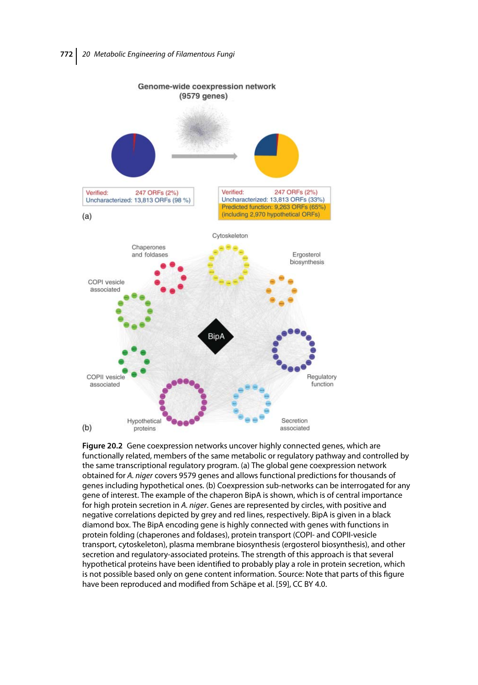

**Figure 20.2** Gene coexpression networks uncover highly connected genes, which are functionally related, members of the same metabolic or regulatory pathway and controlled by the same transcriptional regulatory program. (a) The global gene coexpression network obtained for A. niger covers 9579 genes and allows functional predictions for thousands of genes including hypothetical ones. (b) Coexpression sub-networks can be interrogated for any gene of interest. The example of the chaperon BipA is shown, which is of central importance for high protein secretion in A. niger. Genes are represented by circles, with positive and negative correlations depicted by grey and red lines, respectively. BipA is given in a black diamond box. The BipA encoding gene is highly connected with genes with functions in protein folding (chaperones and foldases), protein transport (COPI- and COPII-vesicle transport, cytoskeleton), plasma membrane biosynthesis (ergosterol biosynthesis), and other secretion and regulatory-associated proteins. The strength of this approach is that several hypothetical proteins have been identified to probably play a role in protein secretion, which is not possible based only on gene content information. Source: Note that parts of this figure have been reproduced and modified from Schäpe et al. [59], CC BY 4.0.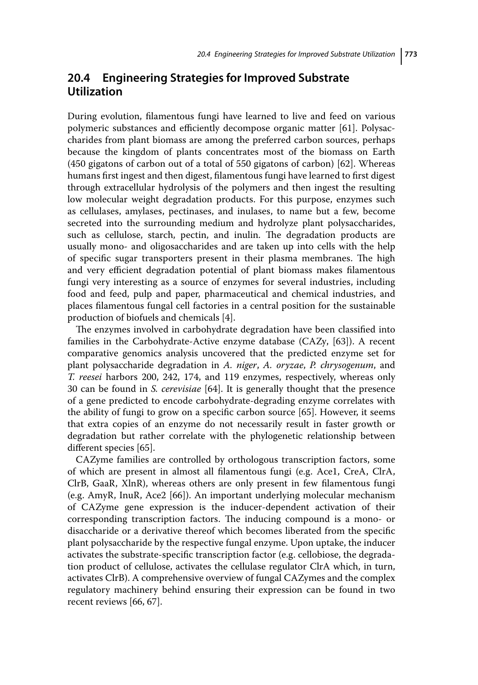### **20.4 Engineering Strategies for Improved Substrate Utilization**

During evolution, filamentous fungi have learned to live and feed on various polymeric substances and efficiently decompose organic matter [61]. Polysaccharides from plant biomass are among the preferred carbon sources, perhaps because the kingdom of plants concentrates most of the biomass on Earth (450 gigatons of carbon out of a total of 550 gigatons of carbon) [62]. Whereas humans first ingest and then digest, filamentous fungi have learned to first digest through extracellular hydrolysis of the polymers and then ingest the resulting low molecular weight degradation products. For this purpose, enzymes such as cellulases, amylases, pectinases, and inulases, to name but a few, become secreted into the surrounding medium and hydrolyze plant polysaccharides, such as cellulose, starch, pectin, and inulin. The degradation products are usually mono- and oligosaccharides and are taken up into cells with the help of specific sugar transporters present in their plasma membranes. The high and very efficient degradation potential of plant biomass makes filamentous fungi very interesting as a source of enzymes for several industries, including food and feed, pulp and paper, pharmaceutical and chemical industries, and places filamentous fungal cell factories in a central position for the sustainable production of biofuels and chemicals [4].

The enzymes involved in carbohydrate degradation have been classified into families in the Carbohydrate-Active enzyme database (CAZy, [63]). A recent comparative genomics analysis uncovered that the predicted enzyme set for plant polysaccharide degradation in *A. niger*, *A. oryzae*, *P. chrysogenum*, and *T. reesei* harbors 200, 242, 174, and 119 enzymes, respectively, whereas only 30 can be found in *S. cerevisiae* [64]. It is generally thought that the presence of a gene predicted to encode carbohydrate-degrading enzyme correlates with the ability of fungi to grow on a specific carbon source [65]. However, it seems that extra copies of an enzyme do not necessarily result in faster growth or degradation but rather correlate with the phylogenetic relationship between different species [65].

CAZyme families are controlled by orthologous transcription factors, some of which are present in almost all filamentous fungi (e.g. Ace1, CreA, ClrA, ClrB, GaaR, XlnR), whereas others are only present in few filamentous fungi (e.g. AmyR, InuR, Ace2 [66]). An important underlying molecular mechanism of CAZyme gene expression is the inducer-dependent activation of their corresponding transcription factors. The inducing compound is a mono- or disaccharide or a derivative thereof which becomes liberated from the specific plant polysaccharide by the respective fungal enzyme. Upon uptake, the inducer activates the substrate-specific transcription factor (e.g. cellobiose, the degradation product of cellulose, activates the cellulase regulator ClrA which, in turn, activates ClrB). A comprehensive overview of fungal CAZymes and the complex regulatory machinery behind ensuring their expression can be found in two recent reviews [66, 67].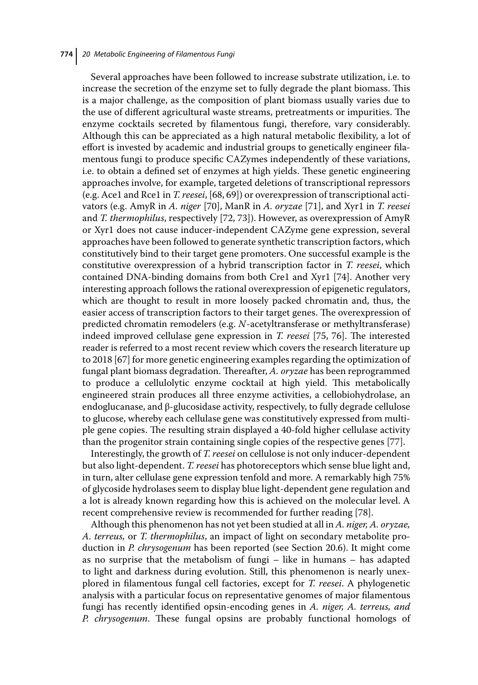Several approaches have been followed to increase substrate utilization, i.e. to increase the secretion of the enzyme set to fully degrade the plant biomass. This is a major challenge, as the composition of plant biomass usually varies due to the use of different agricultural waste streams, pretreatments or impurities. The enzyme cocktails secreted by filamentous fungi, therefore, vary considerably. Although this can be appreciated as a high natural metabolic flexibility, a lot of effort is invested by academic and industrial groups to genetically engineer filamentous fungi to produce specific CAZymes independently of these variations, i.e. to obtain a defined set of enzymes at high yields. These genetic engineering approaches involve, for example, targeted deletions of transcriptional repressors (e.g. Ace1 and Rce1 in *T. reesei*, [68, 69]) or overexpression of transcriptional activators (e.g. AmyR in *A. niger* [70], ManR in *A. oryzae* [71], and Xyr1 in *T. reesei* and *T. thermophilus*, respectively [72, 73]). However, as overexpression of AmyR or Xyr1 does not cause inducer-independent CAZyme gene expression, several approaches have been followed to generate synthetic transcription factors, which constitutively bind to their target gene promoters. One successful example is the constitutive overexpression of a hybrid transcription factor in *T. reesei*, which contained DNA-binding domains from both Cre1 and Xyr1 [74]. Another very interesting approach follows the rational overexpression of epigenetic regulators, which are thought to result in more loosely packed chromatin and, thus, the easier access of transcription factors to their target genes. The overexpression of predicted chromatin remodelers (e.g. *N*-acetyltransferase or methyltransferase) indeed improved cellulase gene expression in *T. reesei* [75, 76]. The interested reader is referred to a most recent review which covers the research literature up to 2018 [67] for more genetic engineering examples regarding the optimization of fungal plant biomass degradation. Thereafter, *A. oryzae* has been reprogrammed to produce a cellulolytic enzyme cocktail at high yield. This metabolically engineered strain produces all three enzyme activities, a cellobiohydrolase, an endoglucanase, and  $\beta$ -glucosidase activity, respectively, to fully degrade cellulose to glucose, whereby each cellulase gene was constitutively expressed from multiple gene copies. The resulting strain displayed a 40-fold higher cellulase activity than the progenitor strain containing single copies of the respective genes [77].

Interestingly, the growth of *T. reesei* on cellulose is not only inducer-dependent but also light-dependent. *T. reesei* has photoreceptors which sense blue light and, in turn, alter cellulase gene expression tenfold and more. A remarkably high 75% of glycoside hydrolases seem to display blue light-dependent gene regulation and a lot is already known regarding how this is achieved on the molecular level. A recent comprehensive review is recommended for further reading [78].

Although this phenomenon has not yet been studied at all in *A. niger, A. oryzae, A. terreus,* or *T. thermophilus*, an impact of light on secondary metabolite production in *P. chrysogenum* has been reported (see Section 20.6). It might come as no surprise that the metabolism of fungi – like in humans – has adapted to light and darkness during evolution. Still, this phenomenon is nearly unexplored in filamentous fungal cell factories, except for *T. reesei*. A phylogenetic analysis with a particular focus on representative genomes of major filamentous fungi has recently identified opsin-encoding genes in *A. niger, A. terreus, and P. chrysogenum*. These fungal opsins are probably functional homologs of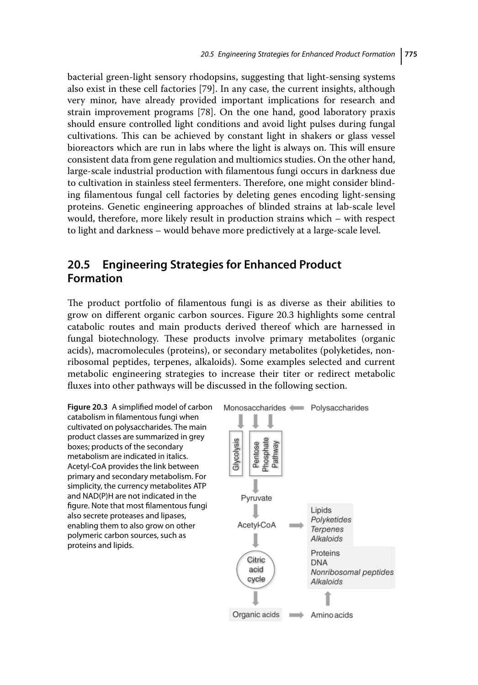bacterial green-light sensory rhodopsins, suggesting that light-sensing systems also exist in these cell factories [79]. In any case, the current insights, although very minor, have already provided important implications for research and strain improvement programs [78]. On the one hand, good laboratory praxis should ensure controlled light conditions and avoid light pulses during fungal cultivations. This can be achieved by constant light in shakers or glass vessel bioreactors which are run in labs where the light is always on. This will ensure consistent data from gene regulation and multiomics studies. On the other hand, large-scale industrial production with filamentous fungi occurs in darkness due to cultivation in stainless steel fermenters. Therefore, one might consider blinding filamentous fungal cell factories by deleting genes encoding light-sensing proteins. Genetic engineering approaches of blinded strains at lab-scale level would, therefore, more likely result in production strains which – with respect to light and darkness – would behave more predictively at a large-scale level.

# **20.5 Engineering Strategies for Enhanced Product Formation**

The product portfolio of filamentous fungi is as diverse as their abilities to grow on different organic carbon sources. Figure 20.3 highlights some central catabolic routes and main products derived thereof which are harnessed in fungal biotechnology. These products involve primary metabolites (organic acids), macromolecules (proteins), or secondary metabolites (polyketides, nonribosomal peptides, terpenes, alkaloids). Some examples selected and current metabolic engineering strategies to increase their titer or redirect metabolic fluxes into other pathways will be discussed in the following section.

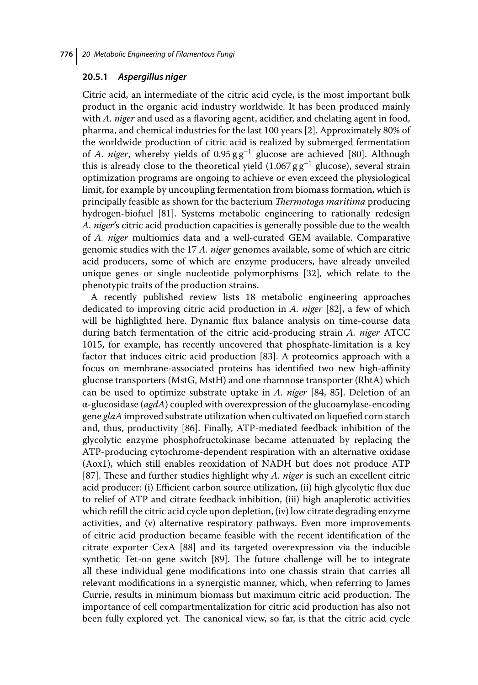#### **20.5.1** *Aspergillus niger*

Citric acid, an intermediate of the citric acid cycle, is the most important bulk product in the organic acid industry worldwide. It has been produced mainly with *A. niger* and used as a flavoring agent, acidifier, and chelating agent in food, pharma, and chemical industries for the last 100 years [2]. Approximately 80% of the worldwide production of citric acid is realized by submerged fermentation of *A. niger*, whereby yields of 0.95 g g<sup>−</sup><sup>1</sup> glucose are achieved [80]. Although this is already close to the theoretical yield  $(1.067 \text{ g g}^{-1}$  glucose), several strain optimization programs are ongoing to achieve or even exceed the physiological limit, for example by uncoupling fermentation from biomass formation, which is principally feasible as shown for the bacterium *Thermotoga maritima* producing hydrogen-biofuel [81]. Systems metabolic engineering to rationally redesign *A. niger*'s citric acid production capacities is generally possible due to the wealth of *A. niger* multiomics data and a well-curated GEM available. Comparative genomic studies with the 17 *A. niger* genomes available, some of which are citric acid producers, some of which are enzyme producers, have already unveiled unique genes or single nucleotide polymorphisms [32], which relate to the phenotypic traits of the production strains.

A recently published review lists 18 metabolic engineering approaches dedicated to improving citric acid production in *A. niger* [82], a few of which will be highlighted here. Dynamic flux balance analysis on time-course data during batch fermentation of the citric acid-producing strain *A. niger* ATCC 1015, for example, has recently uncovered that phosphate-limitation is a key factor that induces citric acid production [83]. A proteomics approach with a focus on membrane-associated proteins has identified two new high-affinity glucose transporters (MstG, MstH) and one rhamnose transporter (RhtA) which can be used to optimize substrate uptake in *A. niger* [84, 85]. Deletion of an α-glucosidase (*agdA*) coupled with overexpression of the glucoamylase-encoding gene *glaA* improved substrate utilization when cultivated on liquefied corn starch and, thus, productivity [86]. Finally, ATP-mediated feedback inhibition of the glycolytic enzyme phosphofructokinase became attenuated by replacing the ATP-producing cytochrome-dependent respiration with an alternative oxidase (Aox1), which still enables reoxidation of NADH but does not produce ATP [87]. These and further studies highlight why *A. niger* is such an excellent citric acid producer: (i) Efficient carbon source utilization, (ii) high glycolytic flux due to relief of ATP and citrate feedback inhibition, (iii) high anaplerotic activities which refill the citric acid cycle upon depletion, (iv) low citrate degrading enzyme activities, and (v) alternative respiratory pathways. Even more improvements of citric acid production became feasible with the recent identification of the citrate exporter CexA [88] and its targeted overexpression via the inducible synthetic Tet-on gene switch [89]. The future challenge will be to integrate all these individual gene modifications into one chassis strain that carries all relevant modifications in a synergistic manner, which, when referring to James Currie, results in minimum biomass but maximum citric acid production. The importance of cell compartmentalization for citric acid production has also not been fully explored yet. The canonical view, so far, is that the citric acid cycle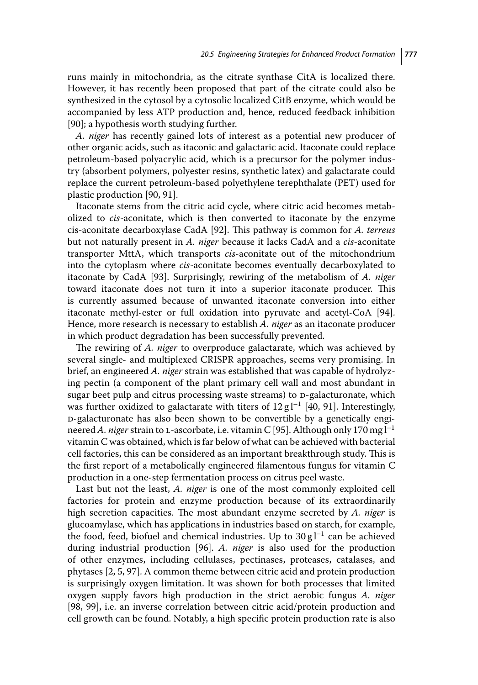runs mainly in mitochondria, as the citrate synthase CitA is localized there. However, it has recently been proposed that part of the citrate could also be synthesized in the cytosol by a cytosolic localized CitB enzyme, which would be accompanied by less ATP production and, hence, reduced feedback inhibition [90]; a hypothesis worth studying further.

*A. niger* has recently gained lots of interest as a potential new producer of other organic acids, such as itaconic and galactaric acid. Itaconate could replace petroleum-based polyacrylic acid, which is a precursor for the polymer industry (absorbent polymers, polyester resins, synthetic latex) and galactarate could replace the current petroleum-based polyethylene terephthalate (PET) used for plastic production [90, 91].

Itaconate stems from the citric acid cycle, where citric acid becomes metabolized to *cis*-aconitate, which is then converted to itaconate by the enzyme cis-aconitate decarboxylase CadA [92]. This pathway is common for *A. terreus* but not naturally present in *A. niger* because it lacks CadA and a *cis*-aconitate transporter MttA, which transports *cis*-aconitate out of the mitochondrium into the cytoplasm where *cis*-aconitate becomes eventually decarboxylated to itaconate by CadA [93]. Surprisingly, rewiring of the metabolism of *A. niger* toward itaconate does not turn it into a superior itaconate producer. This is currently assumed because of unwanted itaconate conversion into either itaconate methyl-ester or full oxidation into pyruvate and acetyl-CoA [94]. Hence, more research is necessary to establish *A. niger* as an itaconate producer in which product degradation has been successfully prevented.

The rewiring of *A. niger* to overproduce galactarate, which was achieved by several single- and multiplexed CRISPR approaches, seems very promising. In brief, an engineered *A. niger* strain was established that was capable of hydrolyzing pectin (a component of the plant primary cell wall and most abundant in sugar beet pulp and citrus processing waste streams) to D-galacturonate, which was further oxidized to galactarate with titers of  $12 \text{ g}$  l<sup>-1</sup> [40, 91]. Interestingly, d-galacturonate has also been shown to be convertible by a genetically engineered *A. niger* strain to L-ascorbate, i.e. vitamin C [95]. Although only 170 mg l<sup>-1</sup> vitamin C was obtained, which is far below of what can be achieved with bacterial cell factories, this can be considered as an important breakthrough study. This is the first report of a metabolically engineered filamentous fungus for vitamin C production in a one-step fermentation process on citrus peel waste.

Last but not the least, *A. niger* is one of the most commonly exploited cell factories for protein and enzyme production because of its extraordinarily high secretion capacities. The most abundant enzyme secreted by *A. niger* is glucoamylase, which has applications in industries based on starch, for example, the food, feed, biofuel and chemical industries. Up to  $30 \text{ g} l^{-1}$  can be achieved during industrial production [96]. *A. niger* is also used for the production of other enzymes, including cellulases, pectinases, proteases, catalases, and phytases [2, 5, 97]. A common theme between citric acid and protein production is surprisingly oxygen limitation. It was shown for both processes that limited oxygen supply favors high production in the strict aerobic fungus *A. niger* [98, 99], i.e. an inverse correlation between citric acid/protein production and cell growth can be found. Notably, a high specific protein production rate is also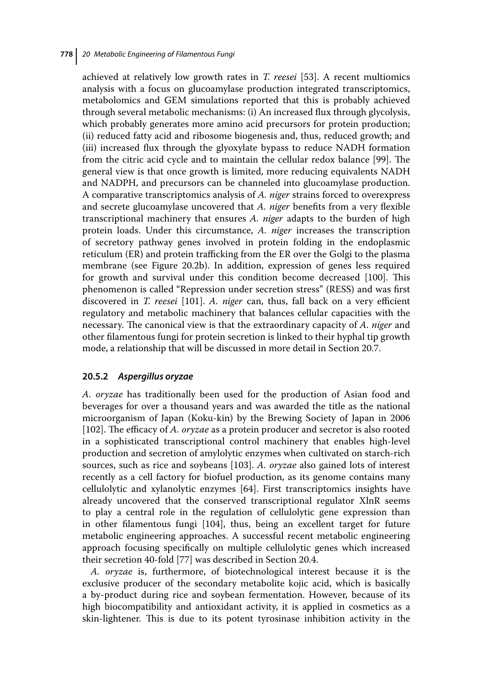achieved at relatively low growth rates in *T. reesei* [53]. A recent multiomics analysis with a focus on glucoamylase production integrated transcriptomics, metabolomics and GEM simulations reported that this is probably achieved through several metabolic mechanisms: (i) An increased flux through glycolysis, which probably generates more amino acid precursors for protein production; (ii) reduced fatty acid and ribosome biogenesis and, thus, reduced growth; and (iii) increased flux through the glyoxylate bypass to reduce NADH formation from the citric acid cycle and to maintain the cellular redox balance [99]. The general view is that once growth is limited, more reducing equivalents NADH and NADPH, and precursors can be channeled into glucoamylase production. A comparative transcriptomics analysis of *A. niger* strains forced to overexpress and secrete glucoamylase uncovered that *A. niger* benefits from a very flexible transcriptional machinery that ensures *A. niger* adapts to the burden of high protein loads. Under this circumstance, *A. niger* increases the transcription of secretory pathway genes involved in protein folding in the endoplasmic reticulum (ER) and protein trafficking from the ER over the Golgi to the plasma membrane (see Figure 20.2b). In addition, expression of genes less required for growth and survival under this condition become decreased [100]. This phenomenon is called "Repression under secretion stress" (RESS) and was first discovered in *T. reesei* [101]. *A. niger* can, thus, fall back on a very efficient regulatory and metabolic machinery that balances cellular capacities with the necessary. The canonical view is that the extraordinary capacity of *A. niger* and other filamentous fungi for protein secretion is linked to their hyphal tip growth mode, a relationship that will be discussed in more detail in Section 20.7.

### **20.5.2** *Aspergillus oryzae*

*A. oryzae* has traditionally been used for the production of Asian food and beverages for over a thousand years and was awarded the title as the national microorganism of Japan (Koku-kin) by the Brewing Society of Japan in 2006 [102]. The efficacy of *A. oryzae* as a protein producer and secretor is also rooted in a sophisticated transcriptional control machinery that enables high-level production and secretion of amylolytic enzymes when cultivated on starch-rich sources, such as rice and soybeans [103]. *A. oryzae* also gained lots of interest recently as a cell factory for biofuel production, as its genome contains many cellulolytic and xylanolytic enzymes [64]. First transcriptomics insights have already uncovered that the conserved transcriptional regulator XlnR seems to play a central role in the regulation of cellulolytic gene expression than in other filamentous fungi [104], thus, being an excellent target for future metabolic engineering approaches. A successful recent metabolic engineering approach focusing specifically on multiple cellulolytic genes which increased their secretion 40-fold [77] was described in Section 20.4.

*A. oryzae* is, furthermore, of biotechnological interest because it is the exclusive producer of the secondary metabolite kojic acid, which is basically a by-product during rice and soybean fermentation. However, because of its high biocompatibility and antioxidant activity, it is applied in cosmetics as a skin-lightener. This is due to its potent tyrosinase inhibition activity in the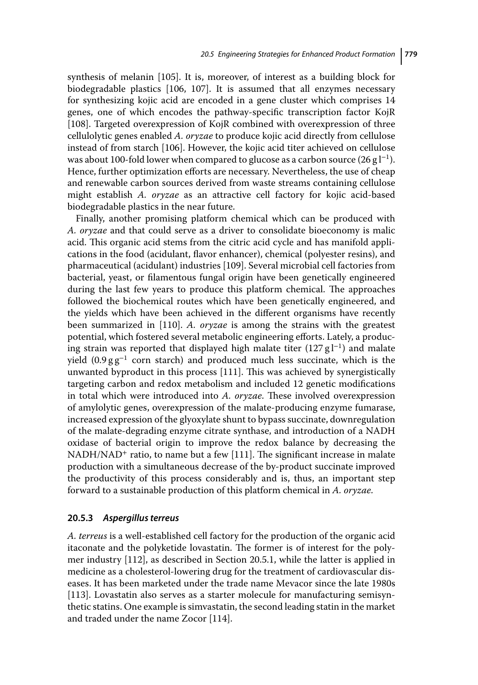synthesis of melanin [105]. It is, moreover, of interest as a building block for biodegradable plastics [106, 107]. It is assumed that all enzymes necessary for synthesizing kojic acid are encoded in a gene cluster which comprises 14 genes, one of which encodes the pathway-specific transcription factor KojR [108]. Targeted overexpression of KojR combined with overexpression of three cellulolytic genes enabled *A. oryzae* to produce kojic acid directly from cellulose instead of from starch [106]. However, the kojic acid titer achieved on cellulose was about 100-fold lower when compared to glucose as a carbon source  $(26 \text{ g} \cdot l^{-1})$ . Hence, further optimization efforts are necessary. Nevertheless, the use of cheap and renewable carbon sources derived from waste streams containing cellulose might establish *A. oryzae* as an attractive cell factory for kojic acid-based biodegradable plastics in the near future.

Finally, another promising platform chemical which can be produced with *A. oryzae* and that could serve as a driver to consolidate bioeconomy is malic acid. This organic acid stems from the citric acid cycle and has manifold applications in the food (acidulant, flavor enhancer), chemical (polyester resins), and pharmaceutical (acidulant) industries [109]. Several microbial cell factories from bacterial, yeast, or filamentous fungal origin have been genetically engineered during the last few years to produce this platform chemical. The approaches followed the biochemical routes which have been genetically engineered, and the yields which have been achieved in the different organisms have recently been summarized in [110]. *A. oryzae* is among the strains with the greatest potential, which fostered several metabolic engineering efforts. Lately, a producing strain was reported that displayed high malate titer  $(127 g l<sup>-1</sup>)$  and malate yield  $(0.9 \text{ g g}^{-1}$  corn starch) and produced much less succinate, which is the unwanted byproduct in this process [111]. This was achieved by synergistically targeting carbon and redox metabolism and included 12 genetic modifications in total which were introduced into *A. oryzae*. These involved overexpression of amylolytic genes, overexpression of the malate-producing enzyme fumarase, increased expression of the glyoxylate shunt to bypass succinate, downregulation of the malate-degrading enzyme citrate synthase, and introduction of a NADH oxidase of bacterial origin to improve the redox balance by decreasing the NADH/NAD<sup>+</sup> ratio, to name but a few [111]. The significant increase in malate production with a simultaneous decrease of the by-product succinate improved the productivity of this process considerably and is, thus, an important step forward to a sustainable production of this platform chemical in *A. oryzae*.

#### **20.5.3** *Aspergillus terreus*

*A. terreus* is a well-established cell factory for the production of the organic acid itaconate and the polyketide lovastatin. The former is of interest for the polymer industry [112], as described in Section 20.5.1, while the latter is applied in medicine as a cholesterol-lowering drug for the treatment of cardiovascular diseases. It has been marketed under the trade name Mevacor since the late 1980s [113]. Lovastatin also serves as a starter molecule for manufacturing semisynthetic statins. One example is simvastatin, the second leading statin in the market and traded under the name Zocor [114].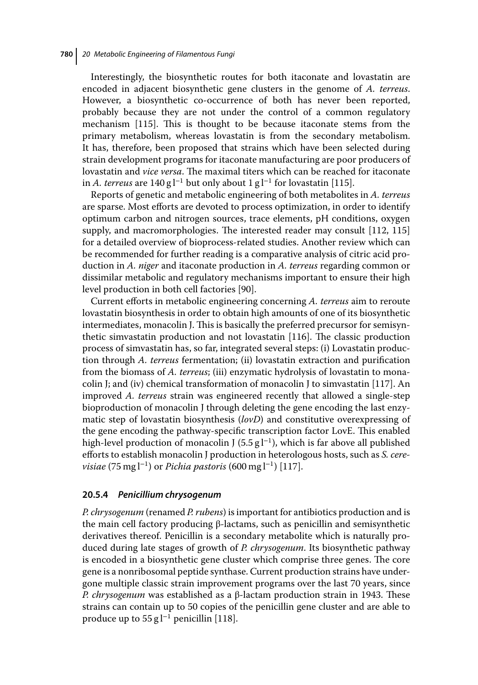Interestingly, the biosynthetic routes for both itaconate and lovastatin are encoded in adjacent biosynthetic gene clusters in the genome of *A. terreus*. However, a biosynthetic co-occurrence of both has never been reported, probably because they are not under the control of a common regulatory mechanism [115]. This is thought to be because itaconate stems from the primary metabolism, whereas lovastatin is from the secondary metabolism. It has, therefore, been proposed that strains which have been selected during strain development programs for itaconate manufacturing are poor producers of lovastatin and *vice versa*. The maximal titers which can be reached for itaconate in *A. terreus* are 140 g l<sup>−1</sup> but only about 1 g l<sup>−1</sup> for lovastatin [115].

Reports of genetic and metabolic engineering of both metabolites in *A. terreus* are sparse. Most efforts are devoted to process optimization, in order to identify optimum carbon and nitrogen sources, trace elements, pH conditions, oxygen supply, and macromorphologies. The interested reader may consult [112, 115] for a detailed overview of bioprocess-related studies. Another review which can be recommended for further reading is a comparative analysis of citric acid production in *A. niger* and itaconate production in *A. terreus* regarding common or dissimilar metabolic and regulatory mechanisms important to ensure their high level production in both cell factories [90].

Current efforts in metabolic engineering concerning *A. terreus* aim to reroute lovastatin biosynthesis in order to obtain high amounts of one of its biosynthetic intermediates, monacolin J. This is basically the preferred precursor for semisynthetic simvastatin production and not lovastatin [116]. The classic production process of simvastatin has, so far, integrated several steps: (i) Lovastatin production through *A. terreus* fermentation; (ii) lovastatin extraction and purification from the biomass of *A. terreus*; (iii) enzymatic hydrolysis of lovastatin to monacolin J; and (iv) chemical transformation of monacolin J to simvastatin [117]. An improved *A. terreus* strain was engineered recently that allowed a single-step bioproduction of monacolin J through deleting the gene encoding the last enzymatic step of lovastatin biosynthesis (*lovD*) and constitutive overexpressing of the gene encoding the pathway-specific transcription factor LovE. This enabled high-level production of monacolin J (5.5 g l<sup>-1</sup>), which is far above all published efforts to establish monacolin J production in heterologous hosts, such as *S. cerevisiae* (75 mg l<sup>−1</sup>) or *Pichia pastoris* (600 mg l<sup>−1</sup>) [117].

#### **20.5.4** *Penicillium chrysogenum*

*P. chrysogenum* (renamed *P. rubens*) is important for antibiotics production and is the main cell factory producing β-lactams, such as penicillin and semisynthetic derivatives thereof. Penicillin is a secondary metabolite which is naturally produced during late stages of growth of *P. chrysogenum*. Its biosynthetic pathway is encoded in a biosynthetic gene cluster which comprise three genes. The core gene is a nonribosomal peptide synthase. Current production strains have undergone multiple classic strain improvement programs over the last 70 years, since *P. chrysogenum* was established as a β-lactam production strain in 1943. These strains can contain up to 50 copies of the penicillin gene cluster and are able to produce up to  $55 \text{ g}$  l<sup>-1</sup> penicillin [118].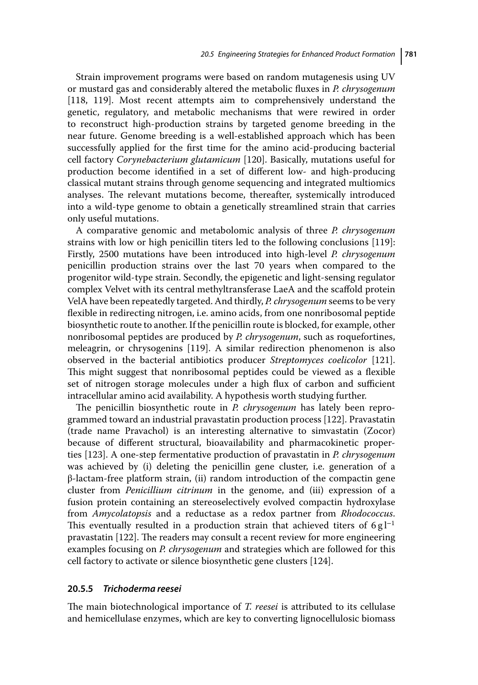Strain improvement programs were based on random mutagenesis using UV or mustard gas and considerably altered the metabolic fluxes in *P. chrysogenum* [118, 119]. Most recent attempts aim to comprehensively understand the genetic, regulatory, and metabolic mechanisms that were rewired in order to reconstruct high-production strains by targeted genome breeding in the near future. Genome breeding is a well-established approach which has been successfully applied for the first time for the amino acid-producing bacterial cell factory *Corynebacterium glutamicum* [120]. Basically, mutations useful for production become identified in a set of different low- and high-producing classical mutant strains through genome sequencing and integrated multiomics analyses. The relevant mutations become, thereafter, systemically introduced into a wild-type genome to obtain a genetically streamlined strain that carries only useful mutations.

A comparative genomic and metabolomic analysis of three *P. chrysogenum* strains with low or high penicillin titers led to the following conclusions [119]: Firstly, 2500 mutations have been introduced into high-level *P. chrysogenum* penicillin production strains over the last 70 years when compared to the progenitor wild-type strain. Secondly, the epigenetic and light-sensing regulator complex Velvet with its central methyltransferase LaeA and the scaffold protein VelA have been repeatedly targeted. And thirdly, *P. chrysogenum* seems to be very flexible in redirecting nitrogen, i.e. amino acids, from one nonribosomal peptide biosynthetic route to another. If the penicillin route is blocked, for example, other nonribosomal peptides are produced by *P. chrysogenum*, such as roquefortines, meleagrin, or chrysogenins [119]. A similar redirection phenomenon is also observed in the bacterial antibiotics producer *Streptomyces coelicolor* [121]. This might suggest that nonribosomal peptides could be viewed as a flexible set of nitrogen storage molecules under a high flux of carbon and sufficient intracellular amino acid availability. A hypothesis worth studying further.

The penicillin biosynthetic route in *P. chrysogenum* has lately been reprogrammed toward an industrial pravastatin production process [122]. Pravastatin (trade name Pravachol) is an interesting alternative to simvastatin (Zocor) because of different structural, bioavailability and pharmacokinetic properties [123]. A one-step fermentative production of pravastatin in *P. chrysogenum* was achieved by (i) deleting the penicillin gene cluster, i.e. generation of a β-lactam-free platform strain, (ii) random introduction of the compactin gene cluster from *Penicillium citrinum* in the genome, and (iii) expression of a fusion protein containing an stereoselectively evolved compactin hydroxylase from *Amycolatopsis* and a reductase as a redox partner from *Rhodococcus*. This eventually resulted in a production strain that achieved titers of 6 g $l^{-1}$ pravastatin [122]. The readers may consult a recent review for more engineering examples focusing on *P. chrysogenum* and strategies which are followed for this cell factory to activate or silence biosynthetic gene clusters [124].

#### **20.5.5** *Trichoderma reesei*

The main biotechnological importance of *T. reesei* is attributed to its cellulase and hemicellulase enzymes, which are key to converting lignocellulosic biomass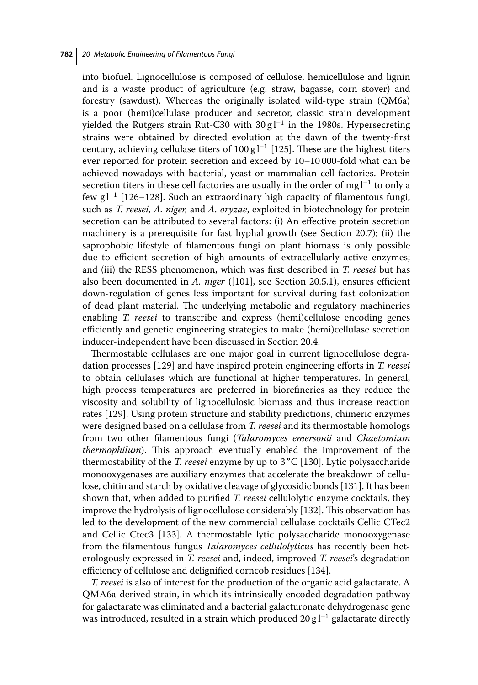into biofuel. Lignocellulose is composed of cellulose, hemicellulose and lignin and is a waste product of agriculture (e.g. straw, bagasse, corn stover) and forestry (sawdust). Whereas the originally isolated wild-type strain (QM6a) is a poor (hemi)cellulase producer and secretor, classic strain development yielded the Rutgers strain Rut-C30 with  $30 \text{ g}$ l<sup>-1</sup> in the 1980s. Hypersecreting strains were obtained by directed evolution at the dawn of the twenty-first century, achieving cellulase titers of  $100 \text{ g}$  l<sup>-1</sup> [125]. These are the highest titers ever reported for protein secretion and exceed by 10–10 000-fold what can be achieved nowadays with bacterial, yeast or mammalian cell factories. Protein secretion titers in these cell factories are usually in the order of mg l<sup>-1</sup> to only a few g l<sup>−</sup><sup>1</sup> [126–128]. Such an extraordinary high capacity of filamentous fungi, such as *T. reesei, A. niger,* and *A. oryzae*, exploited in biotechnology for protein secretion can be attributed to several factors: (i) An effective protein secretion machinery is a prerequisite for fast hyphal growth (see Section 20.7); (ii) the saprophobic lifestyle of filamentous fungi on plant biomass is only possible due to efficient secretion of high amounts of extracellularly active enzymes; and (iii) the RESS phenomenon, which was first described in *T. reesei* but has also been documented in *A. niger* ([101], see Section 20.5.1), ensures efficient down-regulation of genes less important for survival during fast colonization of dead plant material. The underlying metabolic and regulatory machineries enabling *T. reesei* to transcribe and express (hemi)cellulose encoding genes efficiently and genetic engineering strategies to make (hemi)cellulase secretion inducer-independent have been discussed in Section 20.4.

Thermostable cellulases are one major goal in current lignocellulose degradation processes [129] and have inspired protein engineering efforts in *T. reesei* to obtain cellulases which are functional at higher temperatures. In general, high process temperatures are preferred in biorefineries as they reduce the viscosity and solubility of lignocellulosic biomass and thus increase reaction rates [129]. Using protein structure and stability predictions, chimeric enzymes were designed based on a cellulase from *T. reesei* and its thermostable homologs from two other filamentous fungi (*Talaromyces emersonii* and *Chaetomium thermophilum*). This approach eventually enabled the improvement of the thermostability of the *T. reesei* enzyme by up to 3 ∘C [130]. Lytic polysaccharide monooxygenases are auxiliary enzymes that accelerate the breakdown of cellulose, chitin and starch by oxidative cleavage of glycosidic bonds [131]. It has been shown that, when added to purified *T. reesei* cellulolytic enzyme cocktails, they improve the hydrolysis of lignocellulose considerably [132]. This observation has led to the development of the new commercial cellulase cocktails Cellic CTec2 and Cellic Ctec3 [133]. A thermostable lytic polysaccharide monooxygenase from the filamentous fungus *Talaromyces cellulolyticus* has recently been heterologously expressed in *T. reesei* and, indeed, improved *T. reesei*'s degradation efficiency of cellulose and delignified corncob residues [134].

*T. reesei* is also of interest for the production of the organic acid galactarate. A QMA6a-derived strain, in which its intrinsically encoded degradation pathway for galactarate was eliminated and a bacterial galacturonate dehydrogenase gene was introduced, resulted in a strain which produced  $20 \text{ g} l^{-1}$  galactarate directly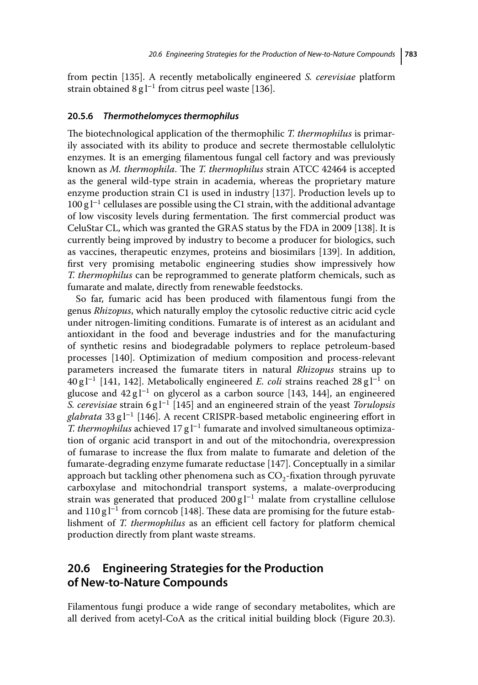from pectin [135]. A recently metabolically engineered *S. cerevisiae* platform strain obtained 8 g l<sup>-1</sup> from citrus peel waste [136].

#### **20.5.6** *Thermothelomyces thermophilus*

The biotechnological application of the thermophilic *T. thermophilus* is primarily associated with its ability to produce and secrete thermostable cellulolytic enzymes. It is an emerging filamentous fungal cell factory and was previously known as *M. thermophila*. The *T. thermophilus* strain ATCC 42464 is accepted as the general wild-type strain in academia, whereas the proprietary mature enzyme production strain C1 is used in industry [137]. Production levels up to  $100 \text{ g}$  l<sup>−1</sup> cellulases are possible using the C1 strain, with the additional advantage of low viscosity levels during fermentation. The first commercial product was CeluStar CL, which was granted the GRAS status by the FDA in 2009 [138]. It is currently being improved by industry to become a producer for biologics, such as vaccines, therapeutic enzymes, proteins and biosimilars [139]. In addition, first very promising metabolic engineering studies show impressively how *T. thermophilus* can be reprogrammed to generate platform chemicals, such as fumarate and malate, directly from renewable feedstocks.

So far, fumaric acid has been produced with filamentous fungi from the genus *Rhizopus*, which naturally employ the cytosolic reductive citric acid cycle under nitrogen-limiting conditions. Fumarate is of interest as an acidulant and antioxidant in the food and beverage industries and for the manufacturing of synthetic resins and biodegradable polymers to replace petroleum-based processes [140]. Optimization of medium composition and process-relevant parameters increased the fumarate titers in natural *Rhizopus* strains up to 40 g l<sup>−</sup><sup>1</sup> [141, 142]. Metabolically engineered *E. coli* strains reached 28 g l<sup>−</sup><sup>1</sup> on glucose and 42 g l<sup>−1</sup> on glycerol as a carbon source [143, 144], an engineered *S. cerevisiae* strain 6 g l<sup>−</sup><sup>1</sup> [145] and an engineered strain of the yeast *Torulopsis glabrata* 33 g l<sup>−</sup><sup>1</sup> [146]. A recent CRISPR-based metabolic engineering effort in *T. thermophilus* achieved 17 g l<sup>−1</sup> fumarate and involved simultaneous optimization of organic acid transport in and out of the mitochondria, overexpression of fumarase to increase the flux from malate to fumarate and deletion of the fumarate-degrading enzyme fumarate reductase [147]. Conceptually in a similar approach but tackling other phenomena such as  $CO<sub>2</sub>$ -fixation through pyruvate carboxylase and mitochondrial transport systems, a malate-overproducing strain was generated that produced 200 g  $l^{-1}$  malate from crystalline cellulose and 110 g l<sup>-1</sup> from corncob [148]. These data are promising for the future establishment of *T. thermophilus* as an efficient cell factory for platform chemical production directly from plant waste streams.

## **20.6 Engineering Strategies for the Production of New-to-Nature Compounds**

Filamentous fungi produce a wide range of secondary metabolites, which are all derived from acetyl-CoA as the critical initial building block (Figure 20.3).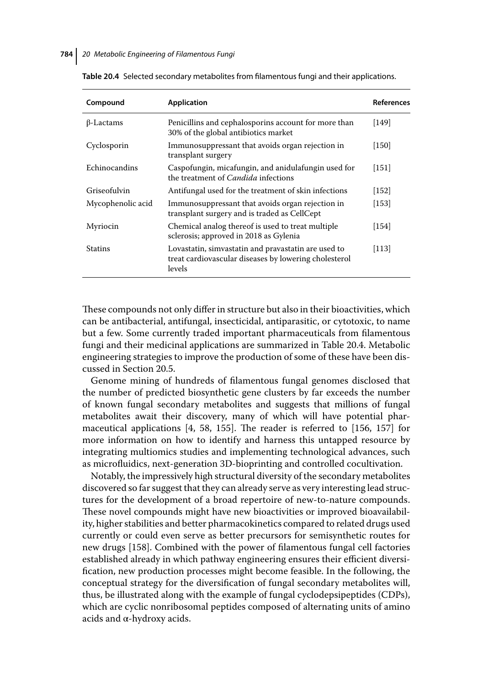| Compound          | <b>Application</b>                                                                                                     | <b>References</b> |
|-------------------|------------------------------------------------------------------------------------------------------------------------|-------------------|
| $\beta$ -Lactams  | Penicillins and cephalosporins account for more than<br>30% of the global antibiotics market                           | [149]             |
| Cyclosporin       | Immunosuppressant that avoids organ rejection in<br>transplant surgery                                                 | [150]             |
| Echinocandins     | Caspofungin, micafungin, and anidulafungin used for<br>the treatment of <i>Candida</i> infections                      | $[151]$           |
| Griseofulvin      | Antifungal used for the treatment of skin infections                                                                   | [152]             |
| Mycophenolic acid | Immunosuppressant that avoids organ rejection in<br>transplant surgery and is traded as CellCept                       | [153]             |
| Myriocin          | Chemical analog thereof is used to treat multiple<br>sclerosis; approved in 2018 as Gylenia                            | [154]             |
| <b>Statins</b>    | Lovastatin, simvastatin and pravastatin are used to<br>treat cardiovascular diseases by lowering cholesterol<br>levels | $[113]$           |

**Table 20.4** Selected secondary metabolites from filamentous fungi and their applications.

These compounds not only differ in structure but also in their bioactivities, which can be antibacterial, antifungal, insecticidal, antiparasitic, or cytotoxic, to name but a few. Some currently traded important pharmaceuticals from filamentous fungi and their medicinal applications are summarized in Table 20.4. Metabolic engineering strategies to improve the production of some of these have been discussed in Section 20.5.

Genome mining of hundreds of filamentous fungal genomes disclosed that the number of predicted biosynthetic gene clusters by far exceeds the number of known fungal secondary metabolites and suggests that millions of fungal metabolites await their discovery, many of which will have potential pharmaceutical applications [4, 58, 155]. The reader is referred to [156, 157] for more information on how to identify and harness this untapped resource by integrating multiomics studies and implementing technological advances, such as microfluidics, next-generation 3D-bioprinting and controlled cocultivation.

Notably, the impressively high structural diversity of the secondary metabolites discovered so far suggest that they can already serve as very interesting lead structures for the development of a broad repertoire of new-to-nature compounds. These novel compounds might have new bioactivities or improved bioavailability, higher stabilities and better pharmacokinetics compared to related drugs used currently or could even serve as better precursors for semisynthetic routes for new drugs [158]. Combined with the power of filamentous fungal cell factories established already in which pathway engineering ensures their efficient diversification, new production processes might become feasible. In the following, the conceptual strategy for the diversification of fungal secondary metabolites will, thus, be illustrated along with the example of fungal cyclodepsipeptides (CDPs), which are cyclic nonribosomal peptides composed of alternating units of amino acids and  $\alpha$ -hydroxy acids.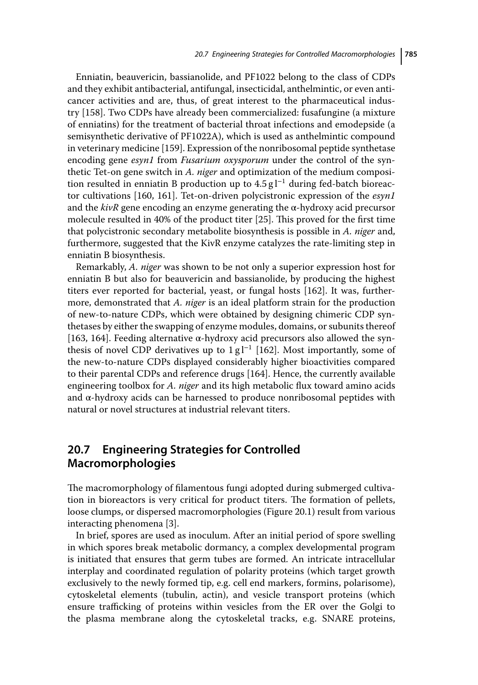Enniatin, beauvericin, bassianolide, and PF1022 belong to the class of CDPs and they exhibit antibacterial, antifungal, insecticidal, anthelmintic, or even anticancer activities and are, thus, of great interest to the pharmaceutical industry [158]. Two CDPs have already been commercialized: fusafungine (a mixture of enniatins) for the treatment of bacterial throat infections and emodepside (a semisynthetic derivative of PF1022A), which is used as anthelmintic compound in veterinary medicine [159]. Expression of the nonribosomal peptide synthetase encoding gene *esyn1* from *Fusarium oxysporum* under the control of the synthetic Tet-on gene switch in *A. niger* and optimization of the medium composition resulted in enniatin B production up to  $4.5 \text{ g}$  l<sup>-1</sup> during fed-batch bioreactor cultivations [160, 161]. Tet-on-driven polycistronic expression of the *esyn1* and the *kivR* gene encoding an enzyme generating the α-hydroxy acid precursor molecule resulted in 40% of the product titer [25]. This proved for the first time that polycistronic secondary metabolite biosynthesis is possible in *A. niger* and, furthermore, suggested that the KivR enzyme catalyzes the rate-limiting step in enniatin B biosynthesis.

Remarkably, *A. niger* was shown to be not only a superior expression host for enniatin B but also for beauvericin and bassianolide, by producing the highest titers ever reported for bacterial, yeast, or fungal hosts [162]. It was, furthermore, demonstrated that *A. niger* is an ideal platform strain for the production of new-to-nature CDPs, which were obtained by designing chimeric CDP synthetases by either the swapping of enzyme modules, domains, or subunits thereof [163, 164]. Feeding alternative α-hydroxy acid precursors also allowed the synthesis of novel CDP derivatives up to  $1 \text{ g}$   $\vert^{-1}$  [162]. Most importantly, some of the new-to-nature CDPs displayed considerably higher bioactivities compared to their parental CDPs and reference drugs [164]. Hence, the currently available engineering toolbox for *A. niger* and its high metabolic flux toward amino acids and α-hydroxy acids can be harnessed to produce nonribosomal peptides with natural or novel structures at industrial relevant titers.

# **20.7 Engineering Strategies for Controlled Macromorphologies**

The macromorphology of filamentous fungi adopted during submerged cultivation in bioreactors is very critical for product titers. The formation of pellets, loose clumps, or dispersed macromorphologies (Figure 20.1) result from various interacting phenomena [3].

In brief, spores are used as inoculum. After an initial period of spore swelling in which spores break metabolic dormancy, a complex developmental program is initiated that ensures that germ tubes are formed. An intricate intracellular interplay and coordinated regulation of polarity proteins (which target growth exclusively to the newly formed tip, e.g. cell end markers, formins, polarisome), cytoskeletal elements (tubulin, actin), and vesicle transport proteins (which ensure trafficking of proteins within vesicles from the ER over the Golgi to the plasma membrane along the cytoskeletal tracks, e.g. SNARE proteins,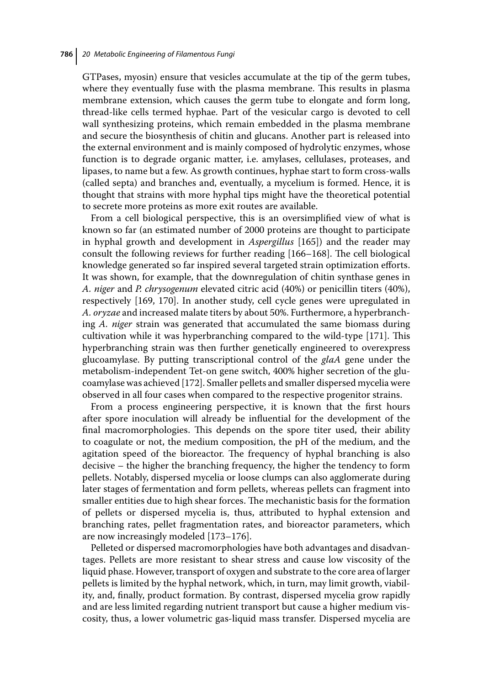GTPases, myosin) ensure that vesicles accumulate at the tip of the germ tubes, where they eventually fuse with the plasma membrane. This results in plasma membrane extension, which causes the germ tube to elongate and form long, thread-like cells termed hyphae. Part of the vesicular cargo is devoted to cell wall synthesizing proteins, which remain embedded in the plasma membrane and secure the biosynthesis of chitin and glucans. Another part is released into the external environment and is mainly composed of hydrolytic enzymes, whose function is to degrade organic matter, i.e. amylases, cellulases, proteases, and lipases, to name but a few. As growth continues, hyphae start to form cross-walls (called septa) and branches and, eventually, a mycelium is formed. Hence, it is thought that strains with more hyphal tips might have the theoretical potential to secrete more proteins as more exit routes are available.

From a cell biological perspective, this is an oversimplified view of what is known so far (an estimated number of 2000 proteins are thought to participate in hyphal growth and development in *Aspergillus* [165]) and the reader may consult the following reviews for further reading [166–168]. The cell biological knowledge generated so far inspired several targeted strain optimization efforts. It was shown, for example, that the downregulation of chitin synthase genes in *A. niger* and *P. chrysogenum* elevated citric acid (40%) or penicillin titers (40%), respectively [169, 170]. In another study, cell cycle genes were upregulated in *A. oryzae* and increased malate titers by about 50%. Furthermore, a hyperbranching *A. niger* strain was generated that accumulated the same biomass during cultivation while it was hyperbranching compared to the wild-type [171]. This hyperbranching strain was then further genetically engineered to overexpress glucoamylase. By putting transcriptional control of the *glaA* gene under the metabolism-independent Tet-on gene switch, 400% higher secretion of the glucoamylase was achieved [172]. Smaller pellets and smaller dispersed mycelia were observed in all four cases when compared to the respective progenitor strains.

From a process engineering perspective, it is known that the first hours after spore inoculation will already be influential for the development of the final macromorphologies. This depends on the spore titer used, their ability to coagulate or not, the medium composition, the pH of the medium, and the agitation speed of the bioreactor. The frequency of hyphal branching is also decisive – the higher the branching frequency, the higher the tendency to form pellets. Notably, dispersed mycelia or loose clumps can also agglomerate during later stages of fermentation and form pellets, whereas pellets can fragment into smaller entities due to high shear forces. The mechanistic basis for the formation of pellets or dispersed mycelia is, thus, attributed to hyphal extension and branching rates, pellet fragmentation rates, and bioreactor parameters, which are now increasingly modeled [173–176].

Pelleted or dispersed macromorphologies have both advantages and disadvantages. Pellets are more resistant to shear stress and cause low viscosity of the liquid phase. However, transport of oxygen and substrate to the core area of larger pellets is limited by the hyphal network, which, in turn, may limit growth, viability, and, finally, product formation. By contrast, dispersed mycelia grow rapidly and are less limited regarding nutrient transport but cause a higher medium viscosity, thus, a lower volumetric gas-liquid mass transfer. Dispersed mycelia are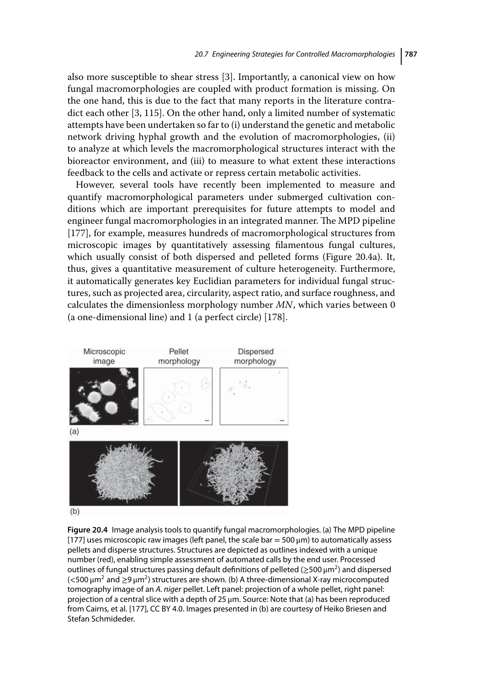also more susceptible to shear stress [3]. Importantly, a canonical view on how fungal macromorphologies are coupled with product formation is missing. On the one hand, this is due to the fact that many reports in the literature contradict each other [3, 115]. On the other hand, only a limited number of systematic attempts have been undertaken so far to (i) understand the genetic and metabolic network driving hyphal growth and the evolution of macromorphologies, (ii) to analyze at which levels the macromorphological structures interact with the bioreactor environment, and (iii) to measure to what extent these interactions feedback to the cells and activate or repress certain metabolic activities.

However, several tools have recently been implemented to measure and quantify macromorphological parameters under submerged cultivation conditions which are important prerequisites for future attempts to model and engineer fungal macromorphologies in an integrated manner. The MPD pipeline [177], for example, measures hundreds of macromorphological structures from microscopic images by quantitatively assessing filamentous fungal cultures, which usually consist of both dispersed and pelleted forms (Figure 20.4a). It, thus, gives a quantitative measurement of culture heterogeneity. Furthermore, it automatically generates key Euclidian parameters for individual fungal structures, such as projected area, circularity, aspect ratio, and surface roughness, and calculates the dimensionless morphology number *MN*, which varies between 0 (a one-dimensional line) and 1 (a perfect circle) [178].



**Figure 20.4** Image analysis tools to quantify fungal macromorphologies. (a) The MPD pipeline [177] uses microscopic raw images (left panel, the scale bar =  $500 \,\mu m$ ) to automatically assess pellets and disperse structures. Structures are depicted as outlines indexed with a unique number (red), enabling simple assessment of automated calls by the end user. Processed outlines of fungal structures passing default definitions of pelleted ( $\geq$ 500  $\mu$ m<sup>2</sup>) and dispersed (*<*500 μm<sup>2</sup> and ≥9 μm2) structures are shown. (b) A three-dimensional X-ray microcomputed tomography image of an A. niger pellet. Left panel: projection of a whole pellet, right panel: projection of a central slice with a depth of 25 μm. Source: Note that (a) has been reproduced from Cairns, et al. [177], CC BY 4.0. Images presented in (b) are courtesy of Heiko Briesen and Stefan Schmideder.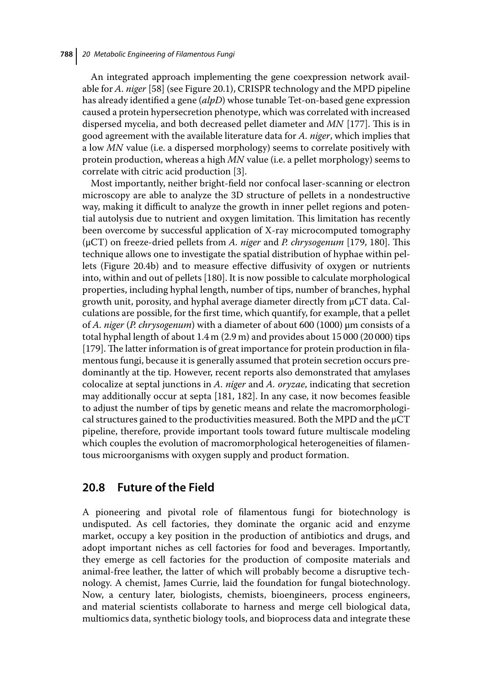An integrated approach implementing the gene coexpression network available for *A. niger* [58] (see Figure 20.1), CRISPR technology and the MPD pipeline has already identified a gene (*alpD*) whose tunable Tet-on-based gene expression caused a protein hypersecretion phenotype, which was correlated with increased dispersed mycelia, and both decreased pellet diameter and *MN* [177]. This is in good agreement with the available literature data for *A. niger*, which implies that a low *MN* value (i.e. a dispersed morphology) seems to correlate positively with protein production, whereas a high *MN* value (i.e. a pellet morphology) seems to correlate with citric acid production [3].

Most importantly, neither bright-field nor confocal laser-scanning or electron microscopy are able to analyze the 3D structure of pellets in a nondestructive way, making it difficult to analyze the growth in inner pellet regions and potential autolysis due to nutrient and oxygen limitation. This limitation has recently been overcome by successful application of X-ray microcomputed tomography (μCT) on freeze-dried pellets from *A. niger* and *P. chrysogenum* [179, 180]. This technique allows one to investigate the spatial distribution of hyphae within pellets (Figure 20.4b) and to measure effective diffusivity of oxygen or nutrients into, within and out of pellets [180]. It is now possible to calculate morphological properties, including hyphal length, number of tips, number of branches, hyphal growth unit, porosity, and hyphal average diameter directly from μCT data. Calculations are possible, for the first time, which quantify, for example, that a pellet of *A. niger* (*P. chrysogenum*) with a diameter of about 600 (1000) μm consists of a total hyphal length of about 1.4 m (2.9 m) and provides about 15 000 (20 000) tips [179]. The latter information is of great importance for protein production in filamentous fungi, because it is generally assumed that protein secretion occurs predominantly at the tip. However, recent reports also demonstrated that amylases colocalize at septal junctions in *A. niger* and *A. oryzae*, indicating that secretion may additionally occur at septa [181, 182]. In any case, it now becomes feasible to adjust the number of tips by genetic means and relate the macromorphological structures gained to the productivities measured. Both the MPD and the μCT pipeline, therefore, provide important tools toward future multiscale modeling which couples the evolution of macromorphological heterogeneities of filamentous microorganisms with oxygen supply and product formation.

### **20.8 Future of the Field**

A pioneering and pivotal role of filamentous fungi for biotechnology is undisputed. As cell factories, they dominate the organic acid and enzyme market, occupy a key position in the production of antibiotics and drugs, and adopt important niches as cell factories for food and beverages. Importantly, they emerge as cell factories for the production of composite materials and animal-free leather, the latter of which will probably become a disruptive technology. A chemist, James Currie, laid the foundation for fungal biotechnology. Now, a century later, biologists, chemists, bioengineers, process engineers, and material scientists collaborate to harness and merge cell biological data, multiomics data, synthetic biology tools, and bioprocess data and integrate these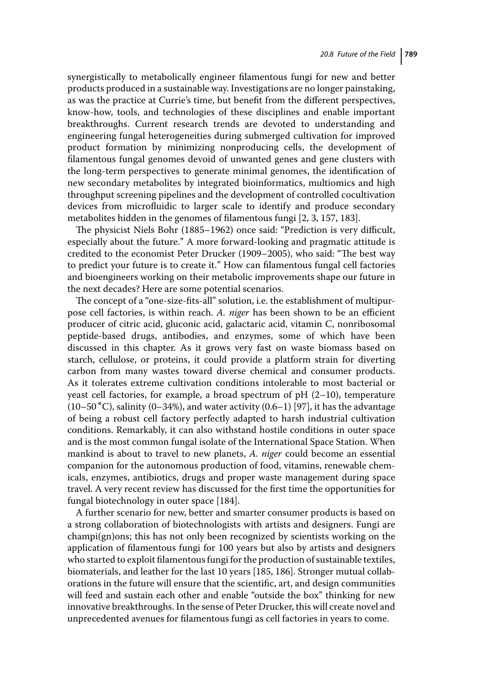synergistically to metabolically engineer filamentous fungi for new and better products produced in a sustainable way. Investigations are no longer painstaking, as was the practice at Currie's time, but benefit from the different perspectives, know-how, tools, and technologies of these disciplines and enable important breakthroughs. Current research trends are devoted to understanding and engineering fungal heterogeneities during submerged cultivation for improved product formation by minimizing nonproducing cells, the development of filamentous fungal genomes devoid of unwanted genes and gene clusters with the long-term perspectives to generate minimal genomes, the identification of new secondary metabolites by integrated bioinformatics, multiomics and high throughput screening pipelines and the development of controlled cocultivation devices from microfluidic to larger scale to identify and produce secondary metabolites hidden in the genomes of filamentous fungi [2, 3, 157, 183].

The physicist Niels Bohr (1885–1962) once said: "Prediction is very difficult, especially about the future." A more forward-looking and pragmatic attitude is credited to the economist Peter Drucker (1909–2005), who said: "The best way to predict your future is to create it." How can filamentous fungal cell factories and bioengineers working on their metabolic improvements shape our future in the next decades? Here are some potential scenarios.

The concept of a "one-size-fits-all" solution, i.e. the establishment of multipurpose cell factories, is within reach. *A. niger* has been shown to be an efficient producer of citric acid, gluconic acid, galactaric acid, vitamin C, nonribosomal peptide-based drugs, antibodies, and enzymes, some of which have been discussed in this chapter. As it grows very fast on waste biomass based on starch, cellulose, or proteins, it could provide a platform strain for diverting carbon from many wastes toward diverse chemical and consumer products. As it tolerates extreme cultivation conditions intolerable to most bacterial or yeast cell factories, for example, a broad spectrum of  $pH$  (2–10), temperature (10–50 °C), salinity (0–34%), and water activity (0.6–1) [97], it has the advantage of being a robust cell factory perfectly adapted to harsh industrial cultivation conditions. Remarkably, it can also withstand hostile conditions in outer space and is the most common fungal isolate of the International Space Station. When mankind is about to travel to new planets, *A. niger* could become an essential companion for the autonomous production of food, vitamins, renewable chemicals, enzymes, antibiotics, drugs and proper waste management during space travel. A very recent review has discussed for the first time the opportunities for fungal biotechnology in outer space [184].

A further scenario for new, better and smarter consumer products is based on a strong collaboration of biotechnologists with artists and designers. Fungi are champi(gn)ons; this has not only been recognized by scientists working on the application of filamentous fungi for 100 years but also by artists and designers who started to exploit filamentous fungi for the production of sustainable textiles, biomaterials, and leather for the last 10 years [185, 186]. Stronger mutual collaborations in the future will ensure that the scientific, art, and design communities will feed and sustain each other and enable "outside the box" thinking for new innovative breakthroughs. In the sense of Peter Drucker, this will create novel and unprecedented avenues for filamentous fungi as cell factories in years to come.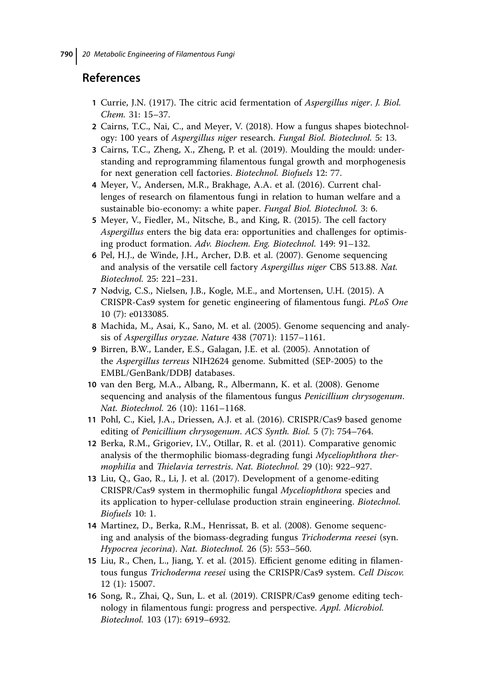### **References**

- **1** Currie, J.N. (1917). The citric acid fermentation of *Aspergillus niger*. *J. Biol. Chem.* 31: 15–37.
- **2** Cairns, T.C., Nai, C., and Meyer, V. (2018). How a fungus shapes biotechnology: 100 years of *Aspergillus niger* research. *Fungal Biol. Biotechnol.* 5: 13.
- **3** Cairns, T.C., Zheng, X., Zheng, P. et al. (2019). Moulding the mould: understanding and reprogramming filamentous fungal growth and morphogenesis for next generation cell factories. *Biotechnol. Biofuels* 12: 77.
- **4** Meyer, V., Andersen, M.R., Brakhage, A.A. et al. (2016). Current challenges of research on filamentous fungi in relation to human welfare and a sustainable bio-economy: a white paper. *Fungal Biol. Biotechnol.* 3: 6.
- **5** Meyer, V., Fiedler, M., Nitsche, B., and King, R. (2015). The cell factory *Aspergillus* enters the big data era: opportunities and challenges for optimising product formation. *Adv. Biochem. Eng. Biotechnol.* 149: 91–132.
- **6** Pel, H.J., de Winde, J.H., Archer, D.B. et al. (2007). Genome sequencing and analysis of the versatile cell factory *Aspergillus niger* CBS 513.88. *Nat. Biotechnol.* 25: 221–231.
- **7** Nødvig, C.S., Nielsen, J.B., Kogle, M.E., and Mortensen, U.H. (2015). A CRISPR-Cas9 system for genetic engineering of filamentous fungi. *PLoS One* 10 (7): e0133085.
- **8** Machida, M., Asai, K., Sano, M. et al. (2005). Genome sequencing and analysis of *Aspergillus oryzae*. *Nature* 438 (7071): 1157–1161.
- **9** Birren, B.W., Lander, E.S., Galagan, J.E. et al. (2005). Annotation of the *Aspergillus terreus* NIH2624 genome. Submitted (SEP-2005) to the EMBL/GenBank/DDBJ databases.
- **10** van den Berg, M.A., Albang, R., Albermann, K. et al. (2008). Genome sequencing and analysis of the filamentous fungus *Penicillium chrysogenum*. *Nat. Biotechnol.* 26 (10): 1161–1168.
- **11** Pohl, C., Kiel, J.A., Driessen, A.J. et al. (2016). CRISPR/Cas9 based genome editing of *Penicillium chrysogenum*. *ACS Synth. Biol.* 5 (7): 754–764.
- **12** Berka, R.M., Grigoriev, I.V., Otillar, R. et al. (2011). Comparative genomic analysis of the thermophilic biomass-degrading fungi *Myceliophthora thermophilia* and *Thielavia terrestris*. *Nat. Biotechnol.* 29 (10): 922–927.
- **13** Liu, Q., Gao, R., Li, J. et al. (2017). Development of a genome-editing CRISPR/Cas9 system in thermophilic fungal *Myceliophthora* species and its application to hyper-cellulase production strain engineering. *Biotechnol. Biofuels* 10: 1.
- **14** Martinez, D., Berka, R.M., Henrissat, B. et al. (2008). Genome sequencing and analysis of the biomass-degrading fungus *Trichoderma reesei* (syn. *Hypocrea jecorina*). *Nat. Biotechnol.* 26 (5): 553–560.
- **15** Liu, R., Chen, L., Jiang, Y. et al. (2015). Efficient genome editing in filamentous fungus *Trichoderma reesei* using the CRISPR/Cas9 system. *Cell Discov.* 12 (1): 15007.
- **16** Song, R., Zhai, Q., Sun, L. et al. (2019). CRISPR/Cas9 genome editing technology in filamentous fungi: progress and perspective. *Appl. Microbiol. Biotechnol.* 103 (17): 6919–6932.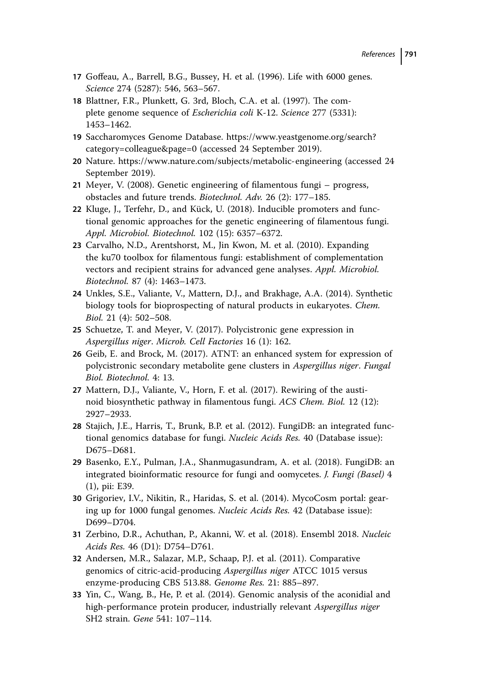- **17** Goffeau, A., Barrell, B.G., Bussey, H. et al. (1996). Life with 6000 genes. *Science* 274 (5287): 546, 563–567.
- **18** Blattner, F.R., Plunkett, G. 3rd, Bloch, C.A. et al. (1997). The complete genome sequence of *Escherichia coli* K-12. *Science* 277 (5331): 1453–1462.
- **19** Saccharomyces Genome Database. [https://www.yeastgenome.org/search?](https://www.yeastgenome.org/search?category=colleague&page=0) [category=colleague&page=0](https://www.yeastgenome.org/search?category=colleague&page=0) (accessed 24 September 2019).
- **20** Nature.<https://www.nature.com/subjects/metabolic-engineering> (accessed 24 September 2019).
- **21** Meyer, V. (2008). Genetic engineering of filamentous fungi progress, obstacles and future trends. *Biotechnol. Adv.* 26 (2): 177–185.
- **22** Kluge, J., Terfehr, D., and Kück, U. (2018). Inducible promoters and functional genomic approaches for the genetic engineering of filamentous fungi. *Appl. Microbiol. Biotechnol.* 102 (15): 6357–6372.
- **23** Carvalho, N.D., Arentshorst, M., Jin Kwon, M. et al. (2010). Expanding the ku70 toolbox for filamentous fungi: establishment of complementation vectors and recipient strains for advanced gene analyses. *Appl. Microbiol. Biotechnol.* 87 (4): 1463–1473.
- **24** Unkles, S.E., Valiante, V., Mattern, D.J., and Brakhage, A.A. (2014). Synthetic biology tools for bioprospecting of natural products in eukaryotes. *Chem. Biol.* 21 (4): 502–508.
- **25** Schuetze, T. and Meyer, V. (2017). Polycistronic gene expression in *Aspergillus niger*. *Microb. Cell Factories* 16 (1): 162.
- **26** Geib, E. and Brock, M. (2017). ATNT: an enhanced system for expression of polycistronic secondary metabolite gene clusters in *Aspergillus niger*. *Fungal Biol. Biotechnol.* 4: 13.
- **27** Mattern, D.J., Valiante, V., Horn, F. et al. (2017). Rewiring of the austinoid biosynthetic pathway in filamentous fungi. *ACS Chem. Biol.* 12 (12): 2927–2933.
- **28** Stajich, J.E., Harris, T., Brunk, B.P. et al. (2012). FungiDB: an integrated functional genomics database for fungi. *Nucleic Acids Res.* 40 (Database issue): D675–D681.
- **29** Basenko, E.Y., Pulman, J.A., Shanmugasundram, A. et al. (2018). FungiDB: an integrated bioinformatic resource for fungi and oomycetes. *J. Fungi (Basel)* 4 (1), pii: E39.
- **30** Grigoriev, I.V., Nikitin, R., Haridas, S. et al. (2014). MycoCosm portal: gearing up for 1000 fungal genomes. *Nucleic Acids Res.* 42 (Database issue): D699–D704.
- **31** Zerbino, D.R., Achuthan, P., Akanni, W. et al. (2018). Ensembl 2018. *Nucleic Acids Res.* 46 (D1): D754–D761.
- **32** Andersen, M.R., Salazar, M.P., Schaap, P.J. et al. (2011). Comparative genomics of citric-acid-producing *Aspergillus niger* ATCC 1015 versus enzyme-producing CBS 513.88. *Genome Res.* 21: 885–897.
- **33** Yin, C., Wang, B., He, P. et al. (2014). Genomic analysis of the aconidial and high-performance protein producer, industrially relevant *Aspergillus niger* SH2 strain. *Gene* 541: 107–114.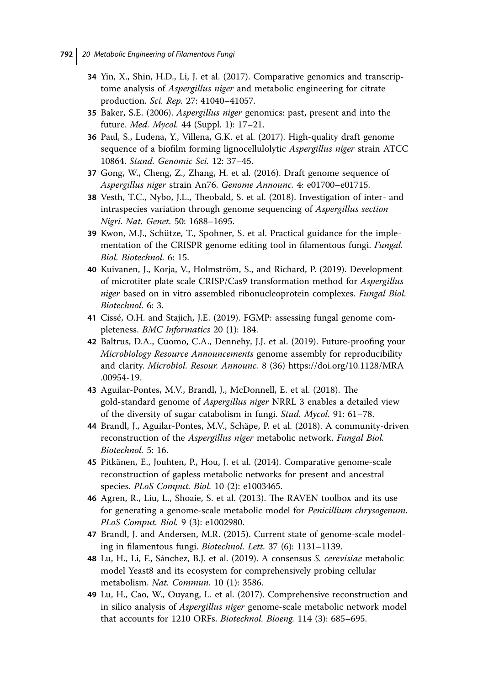- **34** Yin, X., Shin, H.D., Li, J. et al. (2017). Comparative genomics and transcriptome analysis of *Aspergillus niger* and metabolic engineering for citrate production. *Sci. Rep.* 27: 41040–41057.
- **35** Baker, S.E. (2006). *Aspergillus niger* genomics: past, present and into the future. *Med. Mycol.* 44 (Suppl. 1): 17–21.
- **36** Paul, S., Ludena, Y., Villena, G.K. et al. (2017). High-quality draft genome sequence of a biofilm forming lignocellulolytic *Aspergillus niger* strain ATCC 10864. *Stand. Genomic Sci.* 12: 37–45.
- **37** Gong, W., Cheng, Z., Zhang, H. et al. (2016). Draft genome sequence of *Aspergillus niger* strain An76. *Genome Announc.* 4: e01700–e01715.
- **38** Vesth, T.C., Nybo, J.L., Theobald, S. et al. (2018). Investigation of inter- and intraspecies variation through genome sequencing of *Aspergillus section Nigri*. *Nat. Genet.* 50: 1688–1695.
- **39** Kwon, M.J., Schütze, T., Spohner, S. et al. Practical guidance for the implementation of the CRISPR genome editing tool in filamentous fungi. *Fungal. Biol. Biotechnol.* 6: 15.
- **40** Kuivanen, J., Korja, V., Holmström, S., and Richard, P. (2019). Development of microtiter plate scale CRISP/Cas9 transformation method for *Aspergillus niger* based on in vitro assembled ribonucleoprotein complexes. *Fungal Biol. Biotechnol.* 6: 3.
- **41** Cissé, O.H. and Stajich, J.E. (2019). FGMP: assessing fungal genome completeness. *BMC Informatics* 20 (1): 184.
- **42** Baltrus, D.A., Cuomo, C.A., Dennehy, J.J. et al. (2019). Future-proofing your *Microbiology Resource Announcements* genome assembly for reproducibility and clarity. *Microbiol. Resour. Announc.* 8 (36) [https://doi.org/10.1128/MRA](https://doi.org/10.1128/MRA.00954-19) [.00954-19.](https://doi.org/10.1128/MRA.00954-19)
- **43** Aguilar-Pontes, M.V., Brandl, J., McDonnell, E. et al. (2018). The gold-standard genome of *Aspergillus niger* NRRL 3 enables a detailed view of the diversity of sugar catabolism in fungi. *Stud. Mycol.* 91: 61–78.
- **44** Brandl, J., Aguilar-Pontes, M.V., Schäpe, P. et al. (2018). A community-driven reconstruction of the *Aspergillus niger* metabolic network. *Fungal Biol. Biotechnol.* 5: 16.
- **45** Pitkänen, E., Jouhten, P., Hou, J. et al. (2014). Comparative genome-scale reconstruction of gapless metabolic networks for present and ancestral species. *PLoS Comput. Biol.* 10 (2): e1003465.
- **46** Agren, R., Liu, L., Shoaie, S. et al. (2013). The RAVEN toolbox and its use for generating a genome-scale metabolic model for *Penicillium chrysogenum*. *PLoS Comput. Biol.* 9 (3): e1002980.
- **47** Brandl, J. and Andersen, M.R. (2015). Current state of genome-scale modeling in filamentous fungi. *Biotechnol. Lett.* 37 (6): 1131–1139.
- **48** Lu, H., Li, F., Sánchez, B.J. et al. (2019). A consensus *S. cerevisiae* metabolic model Yeast8 and its ecosystem for comprehensively probing cellular metabolism. *Nat. Commun.* 10 (1): 3586.
- **49** Lu, H., Cao, W., Ouyang, L. et al. (2017). Comprehensive reconstruction and in silico analysis of *Aspergillus niger* genome-scale metabolic network model that accounts for 1210 ORFs. *Biotechnol. Bioeng.* 114 (3): 685–695.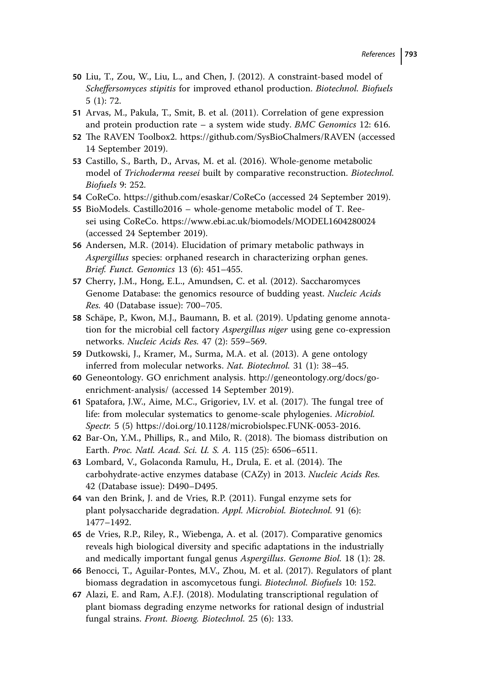- **50** Liu, T., Zou, W., Liu, L., and Chen, J. (2012). A constraint-based model of *Scheffersomyces stipitis* for improved ethanol production. *Biotechnol. Biofuels* 5 (1): 72.
- **51** Arvas, M., Pakula, T., Smit, B. et al. (2011). Correlation of gene expression and protein production rate – a system wide study. *BMC Genomics* 12: 616.
- **52** The RAVEN Toolbox2.<https://github.com/SysBioChalmers/RAVEN> (accessed 14 September 2019).
- **53** Castillo, S., Barth, D., Arvas, M. et al. (2016). Whole-genome metabolic model of *Trichoderma reesei* built by comparative reconstruction. *Biotechnol. Biofuels* 9: 252.
- **54** CoReCo.<https://github.com/esaskar/CoReCo> (accessed 24 September 2019).
- **55** BioModels. Castillo2016 whole-genome metabolic model of T. Reesei using CoReCo.<https://www.ebi.ac.uk/biomodels/MODEL1604280024> (accessed 24 September 2019).
- **56** Andersen, M.R. (2014). Elucidation of primary metabolic pathways in *Aspergillus* species: orphaned research in characterizing orphan genes. *Brief. Funct. Genomics* 13 (6): 451–455.
- **57** Cherry, J.M., Hong, E.L., Amundsen, C. et al. (2012). Saccharomyces Genome Database: the genomics resource of budding yeast. *Nucleic Acids Res.* 40 (Database issue): 700–705.
- **58** Schäpe, P., Kwon, M.J., Baumann, B. et al. (2019). Updating genome annotation for the microbial cell factory *Aspergillus niger* using gene co-expression networks. *Nucleic Acids Res.* 47 (2): 559–569.
- **59** Dutkowski, J., Kramer, M., Surma, M.A. et al. (2013). A gene ontology inferred from molecular networks. *Nat. Biotechnol.* 31 (1): 38–45.
- **60** Geneontology. GO enrichment analysis. [http://geneontology.org/docs/go](http://geneontology.org/docs/go-enrichment-analysis/)[enrichment-analysis/](http://geneontology.org/docs/go-enrichment-analysis/) (accessed 14 September 2019).
- **61** Spatafora, J.W., Aime, M.C., Grigoriev, I.V. et al. (2017). The fungal tree of life: from molecular systematics to genome-scale phylogenies. *Microbiol. Spectr.* 5 (5) [https://doi.org/10.1128/microbiolspec.FUNK-0053-2016.](https://doi.org/10.1128/microbiolspec.FUNK-0053-2016)
- **62** Bar-On, Y.M., Phillips, R., and Milo, R. (2018). The biomass distribution on Earth. *Proc. Natl. Acad. Sci. U. S. A.* 115 (25): 6506–6511.
- **63** Lombard, V., Golaconda Ramulu, H., Drula, E. et al. (2014). The carbohydrate-active enzymes database (CAZy) in 2013. *Nucleic Acids Res.* 42 (Database issue): D490–D495.
- **64** van den Brink, J. and de Vries, R.P. (2011). Fungal enzyme sets for plant polysaccharide degradation. *Appl. Microbiol. Biotechnol.* 91 (6): 1477–1492.
- **65** de Vries, R.P., Riley, R., Wiebenga, A. et al. (2017). Comparative genomics reveals high biological diversity and specific adaptations in the industrially and medically important fungal genus *Aspergillus*. *Genome Biol.* 18 (1): 28.
- **66** Benocci, T., Aguilar-Pontes, M.V., Zhou, M. et al. (2017). Regulators of plant biomass degradation in ascomycetous fungi. *Biotechnol. Biofuels* 10: 152.
- **67** Alazi, E. and Ram, A.F.J. (2018). Modulating transcriptional regulation of plant biomass degrading enzyme networks for rational design of industrial fungal strains. *Front. Bioeng. Biotechnol.* 25 (6): 133.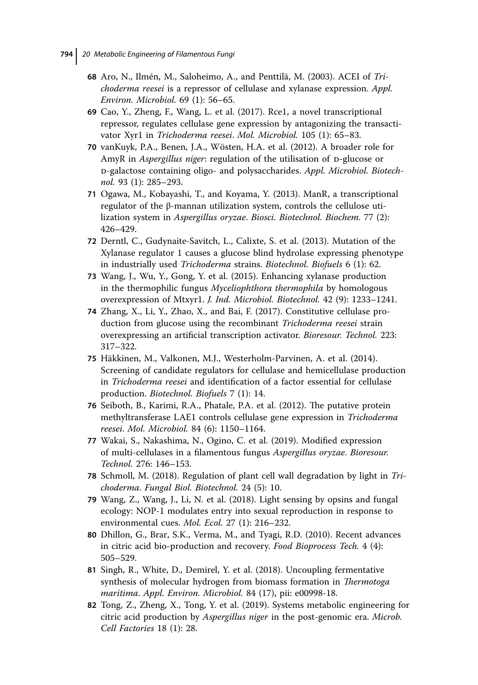- **68** Aro, N., Ilmén, M., Saloheimo, A., and Penttilä, M. (2003). ACEI of *Trichoderma reesei* is a repressor of cellulase and xylanase expression. *Appl. Environ. Microbiol.* 69 (1): 56–65.
- **69** Cao, Y., Zheng, F., Wang, L. et al. (2017). Rce1, a novel transcriptional repressor, regulates cellulase gene expression by antagonizing the transactivator Xyr1 in *Trichoderma reesei*. *Mol. Microbiol.* 105 (1): 65–83.
- **70** vanKuyk, P.A., Benen, J.A., Wösten, H.A. et al. (2012). A broader role for AmyR in *Aspergillus niger*: regulation of the utilisation of *p*-glucose or d-galactose containing oligo- and polysaccharides. *Appl. Microbiol. Biotechnol.* 93 (1): 285–293.
- **71** Ogawa, M., Kobayashi, T., and Koyama, Y. (2013). ManR, a transcriptional regulator of the β-mannan utilization system, controls the cellulose utilization system in *Aspergillus oryzae*. *Biosci. Biotechnol. Biochem.* 77 (2): 426–429.
- **72** Derntl, C., Gudynaite-Savitch, L., Calixte, S. et al. (2013). Mutation of the Xylanase regulator 1 causes a glucose blind hydrolase expressing phenotype in industrially used *Trichoderma* strains. *Biotechnol. Biofuels* 6 (1): 62.
- **73** Wang, J., Wu, Y., Gong, Y. et al. (2015). Enhancing xylanase production in the thermophilic fungus *Myceliophthora thermophila* by homologous overexpression of Mtxyr1. *J. Ind. Microbiol. Biotechnol.* 42 (9): 1233–1241.
- **74** Zhang, X., Li, Y., Zhao, X., and Bai, F. (2017). Constitutive cellulase production from glucose using the recombinant *Trichoderma reesei* strain overexpressing an artificial transcription activator. *Bioresour. Technol.* 223: 317–322.
- **75** Häkkinen, M., Valkonen, M.J., Westerholm-Parvinen, A. et al. (2014). Screening of candidate regulators for cellulase and hemicellulase production in *Trichoderma reesei* and identification of a factor essential for cellulase production. *Biotechnol. Biofuels* 7 (1): 14.
- **76** Seiboth, B., Karimi, R.A., Phatale, P.A. et al. (2012). The putative protein methyltransferase LAE1 controls cellulase gene expression in *Trichoderma reesei*. *Mol. Microbiol.* 84 (6): 1150–1164.
- **77** Wakai, S., Nakashima, N., Ogino, C. et al. (2019). Modified expression of multi-cellulases in a filamentous fungus *Aspergillus oryzae*. *Bioresour. Technol.* 276: 146–153.
- **78** Schmoll, M. (2018). Regulation of plant cell wall degradation by light in *Trichoderma*. *Fungal Biol. Biotechnol.* 24 (5): 10.
- **79** Wang, Z., Wang, J., Li, N. et al. (2018). Light sensing by opsins and fungal ecology: NOP-1 modulates entry into sexual reproduction in response to environmental cues. *Mol. Ecol.* 27 (1): 216–232.
- **80** Dhillon, G., Brar, S.K., Verma, M., and Tyagi, R.D. (2010). Recent advances in citric acid bio-production and recovery. *Food Bioprocess Tech.* 4 (4): 505–529.
- **81** Singh, R., White, D., Demirel, Y. et al. (2018). Uncoupling fermentative synthesis of molecular hydrogen from biomass formation in *Thermotoga maritima*. *Appl. Environ. Microbiol.* 84 (17), pii: e00998-18.
- **82** Tong, Z., Zheng, X., Tong, Y. et al. (2019). Systems metabolic engineering for citric acid production by *Aspergillus niger* in the post-genomic era. *Microb. Cell Factories* 18 (1): 28.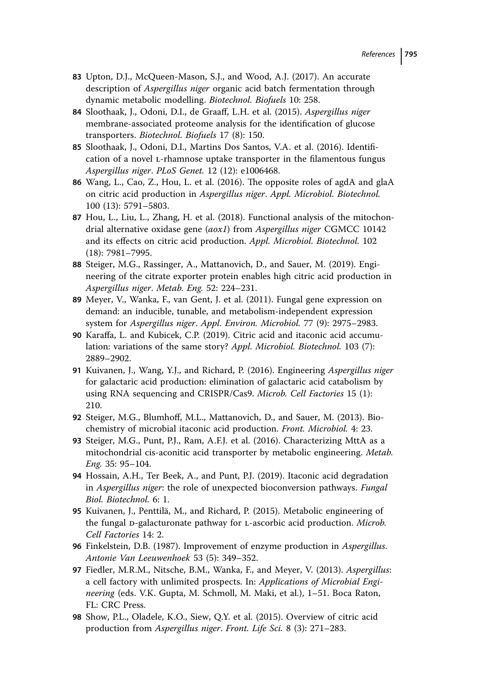- **83** Upton, D.J., McQueen-Mason, S.J., and Wood, A.J. (2017). An accurate description of *Aspergillus niger* organic acid batch fermentation through dynamic metabolic modelling. *Biotechnol. Biofuels* 10: 258.
- **84** Sloothaak, J., Odoni, D.I., de Graaff, L.H. et al. (2015). *Aspergillus niger* membrane-associated proteome analysis for the identification of glucose transporters. *Biotechnol. Biofuels* 17 (8): 150.
- **85** Sloothaak, J., Odoni, D.I., Martins Dos Santos, V.A. et al. (2016). Identification of a novel l-rhamnose uptake transporter in the filamentous fungus *Aspergillus niger*. *PLoS Genet.* 12 (12): e1006468.
- **86** Wang, L., Cao, Z., Hou, L. et al. (2016). The opposite roles of agdA and glaA on citric acid production in *Aspergillus niger*. *Appl. Microbiol. Biotechnol.* 100 (13): 5791–5803.
- **87** Hou, L., Liu, L., Zhang, H. et al. (2018). Functional analysis of the mitochondrial alternative oxidase gene (*aox1*) from *Aspergillus niger* CGMCC 10142 and its effects on citric acid production. *Appl. Microbiol. Biotechnol.* 102 (18): 7981–7995.
- **88** Steiger, M.G., Rassinger, A., Mattanovich, D., and Sauer, M. (2019). Engineering of the citrate exporter protein enables high citric acid production in *Aspergillus niger*. *Metab. Eng.* 52: 224–231.
- **89** Meyer, V., Wanka, F., van Gent, J. et al. (2011). Fungal gene expression on demand: an inducible, tunable, and metabolism-independent expression system for *Aspergillus niger*. *Appl. Environ. Microbiol.* 77 (9): 2975–2983.
- **90** Karaffa, L. and Kubicek, C.P. (2019). Citric acid and itaconic acid accumulation: variations of the same story? *Appl. Microbiol. Biotechnol.* 103 (7): 2889–2902.
- **91** Kuivanen, J., Wang, Y.J., and Richard, P. (2016). Engineering *Aspergillus niger* for galactaric acid production: elimination of galactaric acid catabolism by using RNA sequencing and CRISPR/Cas9. *Microb. Cell Factories* 15 (1): 210.
- **92** Steiger, M.G., Blumhoff, M.L., Mattanovich, D., and Sauer, M. (2013). Biochemistry of microbial itaconic acid production. *Front. Microbiol.* 4: 23.
- **93** Steiger, M.G., Punt, P.J., Ram, A.F.J. et al. (2016). Characterizing MttA as a mitochondrial cis-aconitic acid transporter by metabolic engineering. *Metab. Eng.* 35: 95–104.
- **94** Hossain, A.H., Ter Beek, A., and Punt, P.J. (2019). Itaconic acid degradation in *Aspergillus niger*: the role of unexpected bioconversion pathways. *Fungal Biol. Biotechnol.* 6: 1.
- **95** Kuivanen, J., Penttilä, M., and Richard, P. (2015). Metabolic engineering of the fungal D-galacturonate pathway for L-ascorbic acid production. *Microb. Cell Factories* 14: 2.
- **96** Finkelstein, D.B. (1987). Improvement of enzyme production in *Aspergillus*. *Antonie Van Leeuwenhoek* 53 (5): 349–352.
- **97** Fiedler, M.R.M., Nitsche, B.M., Wanka, F., and Meyer, V. (2013). *Aspergillus*: a cell factory with unlimited prospects. In: *Applications of Microbial Engineering* (eds. V.K. Gupta, M. Schmoll, M. Maki, et al.), 1–51. Boca Raton, FL: CRC Press.
- **98** Show, P.L., Oladele, K.O., Siew, Q.Y. et al. (2015). Overview of citric acid production from *Aspergillus niger*. *Front. Life Sci.* 8 (3): 271–283.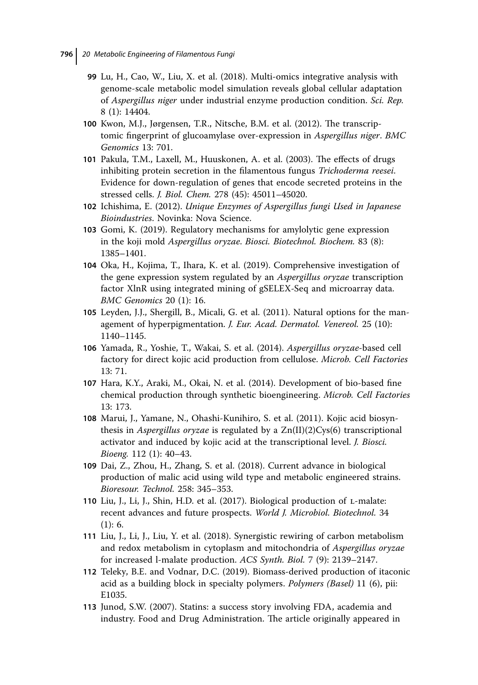- **99** Lu, H., Cao, W., Liu, X. et al. (2018). Multi-omics integrative analysis with genome-scale metabolic model simulation reveals global cellular adaptation of *Aspergillus niger* under industrial enzyme production condition. *Sci. Rep.* 8 (1): 14404.
- **100** Kwon, M.J., Jørgensen, T.R., Nitsche, B.M. et al. (2012). The transcriptomic fingerprint of glucoamylase over-expression in *Aspergillus niger*. *BMC Genomics* 13: 701.
- **101** Pakula, T.M., Laxell, M., Huuskonen, A. et al. (2003). The effects of drugs inhibiting protein secretion in the filamentous fungus *Trichoderma reesei*. Evidence for down-regulation of genes that encode secreted proteins in the stressed cells. *J. Biol. Chem.* 278 (45): 45011–45020.
- **102** Ichishima, E. (2012). *Unique Enzymes of Aspergillus fungi Used in Japanese Bioindustries*. Novinka: Nova Science.
- **103** Gomi, K. (2019). Regulatory mechanisms for amylolytic gene expression in the koji mold *Aspergillus oryzae*. *Biosci. Biotechnol. Biochem.* 83 (8): 1385–1401.
- **104** Oka, H., Kojima, T., Ihara, K. et al. (2019). Comprehensive investigation of the gene expression system regulated by an *Aspergillus oryzae* transcription factor XlnR using integrated mining of gSELEX-Seq and microarray data. *BMC Genomics* 20 (1): 16.
- **105** Leyden, J.J., Shergill, B., Micali, G. et al. (2011). Natural options for the management of hyperpigmentation. *J. Eur. Acad. Dermatol. Venereol.* 25 (10): 1140–1145.
- **106** Yamada, R., Yoshie, T., Wakai, S. et al. (2014). *Aspergillus oryzae*-based cell factory for direct kojic acid production from cellulose. *Microb. Cell Factories* 13: 71.
- **107** Hara, K.Y., Araki, M., Okai, N. et al. (2014). Development of bio-based fine chemical production through synthetic bioengineering. *Microb. Cell Factories* 13: 173.
- **108** Marui, J., Yamane, N., Ohashi-Kunihiro, S. et al. (2011). Kojic acid biosynthesis in *Aspergillus oryzae* is regulated by a Zn(II)(2)Cys(6) transcriptional activator and induced by kojic acid at the transcriptional level. *J. Biosci. Bioeng.* 112 (1): 40–43.
- **109** Dai, Z., Zhou, H., Zhang, S. et al. (2018). Current advance in biological production of malic acid using wild type and metabolic engineered strains. *Bioresour. Technol.* 258: 345–353.
- **110** Liu, J., Li, J., Shin, H.D. et al. (2017). Biological production of l-malate: recent advances and future prospects. *World J. Microbiol. Biotechnol.* 34 (1): 6.
- **111** Liu, J., Li, J., Liu, Y. et al. (2018). Synergistic rewiring of carbon metabolism and redox metabolism in cytoplasm and mitochondria of *Aspergillus oryzae* for increased l-malate production. *ACS Synth. Biol.* 7 (9): 2139–2147.
- **112** Teleky, B.E. and Vodnar, D.C. (2019). Biomass-derived production of itaconic acid as a building block in specialty polymers. *Polymers (Basel)* 11 (6), pii: E1035.
- **113** Junod, S.W. (2007). Statins: a success story involving FDA, academia and industry. Food and Drug Administration. The article originally appeared in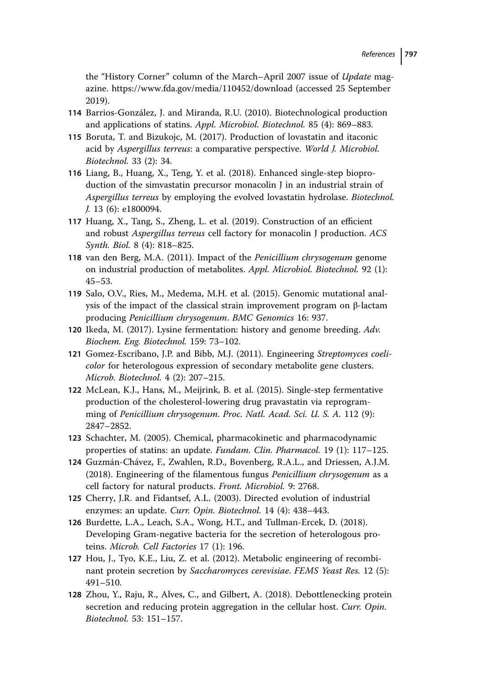the "History Corner" column of the March–April 2007 issue of *Update* magazine.<https://www.fda.gov/media/110452/download> (accessed 25 September 2019).

- **114** Barrios-González, J. and Miranda, R.U. (2010). Biotechnological production and applications of statins. *Appl. Microbiol. Biotechnol.* 85 (4): 869–883.
- **115** Boruta, T. and Bizukojc, M. (2017). Production of lovastatin and itaconic acid by *Aspergillus terreus*: a comparative perspective. *World J. Microbiol. Biotechnol.* 33 (2): 34.
- **116** Liang, B., Huang, X., Teng, Y. et al. (2018). Enhanced single-step bioproduction of the simvastatin precursor monacolin J in an industrial strain of *Aspergillus terreus* by employing the evolved lovastatin hydrolase. *Biotechnol. J.* 13 (6): e1800094.
- **117** Huang, X., Tang, S., Zheng, L. et al. (2019). Construction of an efficient and robust *Aspergillus terreus* cell factory for monacolin J production. *ACS Synth. Biol.* 8 (4): 818–825.
- **118** van den Berg, M.A. (2011). Impact of the *Penicillium chrysogenum* genome on industrial production of metabolites. *Appl. Microbiol. Biotechnol.* 92 (1):  $45 - 53.$
- **119** Salo, O.V., Ries, M., Medema, M.H. et al. (2015). Genomic mutational analysis of the impact of the classical strain improvement program on β-lactam producing *Penicillium chrysogenum*. *BMC Genomics* 16: 937.
- **120** Ikeda, M. (2017). Lysine fermentation: history and genome breeding. *Adv. Biochem. Eng. Biotechnol.* 159: 73–102.
- **121** Gomez-Escribano, J.P. and Bibb, M.J. (2011). Engineering *Streptomyces coelicolor* for heterologous expression of secondary metabolite gene clusters. *Microb. Biotechnol.* 4 (2): 207–215.
- **122** McLean, K.J., Hans, M., Meijrink, B. et al. (2015). Single-step fermentative production of the cholesterol-lowering drug pravastatin via reprogramming of *Penicillium chrysogenum*. *Proc. Natl. Acad. Sci. U. S. A.* 112 (9): 2847–2852.
- **123** Schachter, M. (2005). Chemical, pharmacokinetic and pharmacodynamic properties of statins: an update. *Fundam. Clin. Pharmacol.* 19 (1): 117–125.
- **124** Guzmán-Chávez, F., Zwahlen, R.D., Bovenberg, R.A.L., and Driessen, A.J.M. (2018). Engineering of the filamentous fungus *Penicillium chrysogenum* as a cell factory for natural products. *Front. Microbiol.* 9: 2768.
- **125** Cherry, J.R. and Fidantsef, A.L. (2003). Directed evolution of industrial enzymes: an update. *Curr. Opin. Biotechnol.* 14 (4): 438–443.
- **126** Burdette, L.A., Leach, S.A., Wong, H.T., and Tullman-Ercek, D. (2018). Developing Gram-negative bacteria for the secretion of heterologous proteins. *Microb. Cell Factories* 17 (1): 196.
- **127** Hou, J., Tyo, K.E., Liu, Z. et al. (2012). Metabolic engineering of recombinant protein secretion by *Saccharomyces cerevisiae*. *FEMS Yeast Res.* 12 (5): 491–510.
- **128** Zhou, Y., Raju, R., Alves, C., and Gilbert, A. (2018). Debottlenecking protein secretion and reducing protein aggregation in the cellular host. *Curr. Opin. Biotechnol.* 53: 151–157.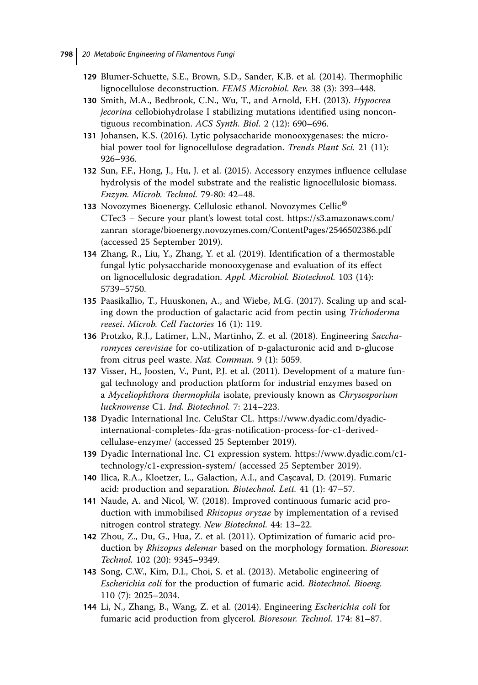- **129** Blumer-Schuette, S.E., Brown, S.D., Sander, K.B. et al. (2014). Thermophilic lignocellulose deconstruction. *FEMS Microbiol. Rev.* 38 (3): 393–448.
- **130** Smith, M.A., Bedbrook, C.N., Wu, T., and Arnold, F.H. (2013). *Hypocrea jecorina* cellobiohydrolase I stabilizing mutations identified using noncontiguous recombination. *ACS Synth. Biol.* 2 (12): 690–696.
- **131** Johansen, K.S. (2016). Lytic polysaccharide monooxygenases: the microbial power tool for lignocellulose degradation. *Trends Plant Sci.* 21 (11): 926–936.
- **132** Sun, F.F., Hong, J., Hu, J. et al. (2015). Accessory enzymes influence cellulase hydrolysis of the model substrate and the realistic lignocellulosic biomass. *Enzym. Microb. Technol.* 79-80: 42–48.
- **<sup>133</sup>** Novozymes Bioenergy. Cellulosic ethanol. Novozymes Cellic® CTec3 – Secure your plant's lowest total cost. [https://s3.amazonaws.com/](https://s3.amazonaws.com/zanran_storage/bioenergy.novozymes.com/ContentPages/2546502386.pdf) [zanran\\_storage/bioenergy.novozymes.com/ContentPages/2546502386.pdf](https://s3.amazonaws.com/zanran_storage/bioenergy.novozymes.com/ContentPages/2546502386.pdf) (accessed 25 September 2019).
- **134** Zhang, R., Liu, Y., Zhang, Y. et al. (2019). Identification of a thermostable fungal lytic polysaccharide monooxygenase and evaluation of its effect on lignocellulosic degradation. *Appl. Microbiol. Biotechnol.* 103 (14): 5739–5750.
- **135** Paasikallio, T., Huuskonen, A., and Wiebe, M.G. (2017). Scaling up and scaling down the production of galactaric acid from pectin using *Trichoderma reesei*. *Microb. Cell Factories* 16 (1): 119.
- **136** Protzko, R.J., Latimer, L.N., Martinho, Z. et al. (2018). Engineering *Saccharomyces cerevisiae* for co-utilization of D-galacturonic acid and D-glucose from citrus peel waste. *Nat. Commun.* 9 (1): 5059.
- **137** Visser, H., Joosten, V., Punt, P.J. et al. (2011). Development of a mature fungal technology and production platform for industrial enzymes based on a *Myceliophthora thermophila* isolate, previously known as *Chrysosporium lucknowense* C1. *Ind. Biotechnol.* 7: 214–223.
- **138** Dyadic International Inc. CeluStar CL. [https://www.dyadic.com/dyadic](https://www.dyadic.com/dyadic-international-completes-fda-gras-notification-process-for-c1-derived-cellulase-enzyme/)[international-completes-fda-gras-notification-process-for-c1-derived](https://www.dyadic.com/dyadic-international-completes-fda-gras-notification-process-for-c1-derived-cellulase-enzyme/)[cellulase-enzyme/](https://www.dyadic.com/dyadic-international-completes-fda-gras-notification-process-for-c1-derived-cellulase-enzyme/) (accessed 25 September 2019).
- **139** Dyadic International Inc. C1 expression system. [https://www.dyadic.com/c1](https://www.dyadic.com/c1-technology/c1-expression-system/) [technology/c1-expression-system/](https://www.dyadic.com/c1-technology/c1-expression-system/) (accessed 25 September 2019).
- 140 Ilica, R.A., Kloetzer, L., Galaction, A.I., and Cașcaval, D. (2019). Fumaric acid: production and separation. *Biotechnol. Lett.* 41 (1): 47–57.
- **141** Naude, A. and Nicol, W. (2018). Improved continuous fumaric acid production with immobilised *Rhizopus oryzae* by implementation of a revised nitrogen control strategy. *New Biotechnol.* 44: 13–22.
- **142** Zhou, Z., Du, G., Hua, Z. et al. (2011). Optimization of fumaric acid production by *Rhizopus delemar* based on the morphology formation. *Bioresour. Technol.* 102 (20): 9345–9349.
- **143** Song, C.W., Kim, D.I., Choi, S. et al. (2013). Metabolic engineering of *Escherichia coli* for the production of fumaric acid. *Biotechnol. Bioeng.* 110 (7): 2025–2034.
- **144** Li, N., Zhang, B., Wang, Z. et al. (2014). Engineering *Escherichia coli* for fumaric acid production from glycerol. *Bioresour. Technol.* 174: 81–87.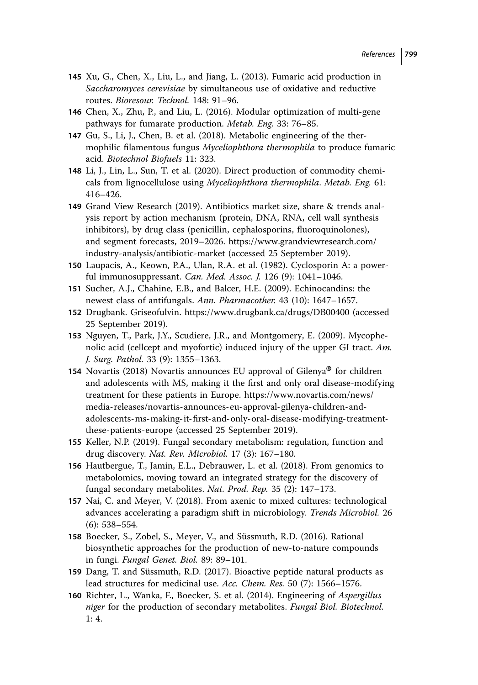- **145** Xu, G., Chen, X., Liu, L., and Jiang, L. (2013). Fumaric acid production in *Saccharomyces cerevisiae* by simultaneous use of oxidative and reductive routes. *Bioresour. Technol.* 148: 91–96.
- **146** Chen, X., Zhu, P., and Liu, L. (2016). Modular optimization of multi-gene pathways for fumarate production. *Metab. Eng.* 33: 76–85.
- **147** Gu, S., Li, J., Chen, B. et al. (2018). Metabolic engineering of the thermophilic filamentous fungus *Myceliophthora thermophila* to produce fumaric acid. *Biotechnol Biofuels* 11: 323.
- **148** Li, J., Lin, L., Sun, T. et al. (2020). Direct production of commodity chemicals from lignocellulose using *Myceliophthora thermophila*. *Metab. Eng.* 61: 416–426.
- **149** Grand View Research (2019). Antibiotics market size, share & trends analysis report by action mechanism (protein, DNA, RNA, cell wall synthesis inhibitors), by drug class (penicillin, cephalosporins, fluoroquinolones), and segment forecasts, 2019–2026. [https://www.grandviewresearch.com/](https://www.grandviewresearch.com/industry-analysis/antibiotic-market) [industry-analysis/antibiotic-market](https://www.grandviewresearch.com/industry-analysis/antibiotic-market) (accessed 25 September 2019).
- **150** Laupacis, A., Keown, P.A., Ulan, R.A. et al. (1982). Cyclosporin A: a powerful immunosuppressant. *Can. Med. Assoc. J.* 126 (9): 1041–1046.
- **151** Sucher, A.J., Chahine, E.B., and Balcer, H.E. (2009). Echinocandins: the newest class of antifungals. *Ann. Pharmacother.* 43 (10): 1647–1657.
- **152** Drugbank. Griseofulvin.<https://www.drugbank.ca/drugs/DB00400> (accessed 25 September 2019).
- **153** Nguyen, T., Park, J.Y., Scudiere, J.R., and Montgomery, E. (2009). Mycophenolic acid (cellcept and myofortic) induced injury of the upper GI tract. *Am. J. Surg. Pathol.* 33 (9): 1355–1363.
- **<sup>154</sup>** Novartis (2018) Novartis announces EU approval of Gilenya® for children and adolescents with MS, making it the first and only oral disease-modifying treatment for these patients in Europe. [https://www.novartis.com/news/](https://www.novartis.com/news/media-releases/novartis-announces-eu-approval-gilenya-children-and-adolescents-ms-making-it-first-and-only-oral-disease-modifying-treatment-these-patients-europe) [media-releases/novartis-announces-eu-approval-gilenya-children-and](https://www.novartis.com/news/media-releases/novartis-announces-eu-approval-gilenya-children-and-adolescents-ms-making-it-first-and-only-oral-disease-modifying-treatment-these-patients-europe)[adolescents-ms-making-it-first-and-only-oral-disease-modifying-treatment](https://www.novartis.com/news/media-releases/novartis-announces-eu-approval-gilenya-children-and-adolescents-ms-making-it-first-and-only-oral-disease-modifying-treatment-these-patients-europe)[these-patients-europe](https://www.novartis.com/news/media-releases/novartis-announces-eu-approval-gilenya-children-and-adolescents-ms-making-it-first-and-only-oral-disease-modifying-treatment-these-patients-europe) (accessed 25 September 2019).
- **155** Keller, N.P. (2019). Fungal secondary metabolism: regulation, function and drug discovery. *Nat. Rev. Microbiol.* 17 (3): 167–180.
- **156** Hautbergue, T., Jamin, E.L., Debrauwer, L. et al. (2018). From genomics to metabolomics, moving toward an integrated strategy for the discovery of fungal secondary metabolites. *Nat. Prod. Rep.* 35 (2): 147–173.
- **157** Nai, C. and Meyer, V. (2018). From axenic to mixed cultures: technological advances accelerating a paradigm shift in microbiology. *Trends Microbiol.* 26 (6): 538–554.
- **158** Boecker, S., Zobel, S., Meyer, V., and Süssmuth, R.D. (2016). Rational biosynthetic approaches for the production of new-to-nature compounds in fungi. *Fungal Genet. Biol.* 89: 89–101.
- **159** Dang, T. and Süssmuth, R.D. (2017). Bioactive peptide natural products as lead structures for medicinal use. *Acc. Chem. Res.* 50 (7): 1566–1576.
- **160** Richter, L., Wanka, F., Boecker, S. et al. (2014). Engineering of *Aspergillus niger* for the production of secondary metabolites. *Fungal Biol. Biotechnol.* 1: 4.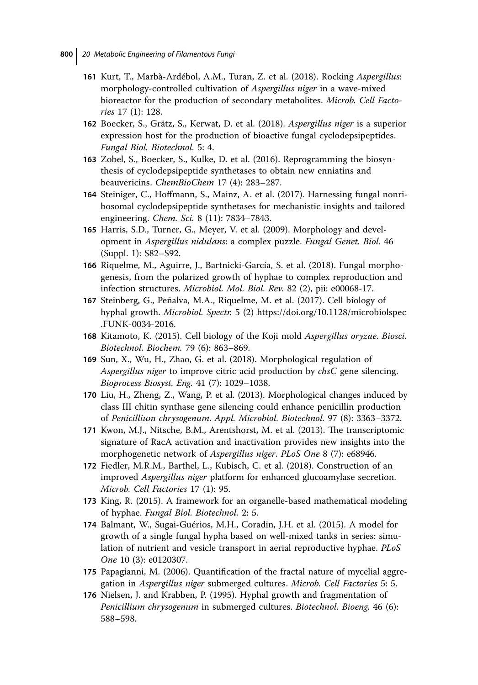- **161** Kurt, T., Marbà-Ardébol, A.M., Turan, Z. et al. (2018). Rocking *Aspergillus*: morphology-controlled cultivation of *Aspergillus niger* in a wave-mixed bioreactor for the production of secondary metabolites. *Microb. Cell Factories* 17 (1): 128.
- **162** Boecker, S., Grätz, S., Kerwat, D. et al. (2018). *Aspergillus niger* is a superior expression host for the production of bioactive fungal cyclodepsipeptides. *Fungal Biol. Biotechnol.* 5: 4.
- **163** Zobel, S., Boecker, S., Kulke, D. et al. (2016). Reprogramming the biosynthesis of cyclodepsipeptide synthetases to obtain new enniatins and beauvericins. *ChemBioChem* 17 (4): 283–287.
- **164** Steiniger, C., Hoffmann, S., Mainz, A. et al. (2017). Harnessing fungal nonribosomal cyclodepsipeptide synthetases for mechanistic insights and tailored engineering. *Chem. Sci.* 8 (11): 7834–7843.
- **165** Harris, S.D., Turner, G., Meyer, V. et al. (2009). Morphology and development in *Aspergillus nidulans*: a complex puzzle. *Fungal Genet. Biol.* 46 (Suppl. 1): S82–S92.
- **166** Riquelme, M., Aguirre, J., Bartnicki-García, S. et al. (2018). Fungal morphogenesis, from the polarized growth of hyphae to complex reproduction and infection structures. *Microbiol. Mol. Biol. Rev.* 82 (2), pii: e00068-17.
- **167** Steinberg, G., Peñalva, M.A., Riquelme, M. et al. (2017). Cell biology of hyphal growth. *Microbiol. Spectr.* 5 (2) [https://doi.org/10.1128/microbiolspec](https://doi.org/10.1128/microbiolspec.FUNK-0034-2016) [.FUNK-0034-2016.](https://doi.org/10.1128/microbiolspec.FUNK-0034-2016)
- **168** Kitamoto, K. (2015). Cell biology of the Koji mold *Aspergillus oryzae*. *Biosci. Biotechnol. Biochem.* 79 (6): 863–869.
- **169** Sun, X., Wu, H., Zhao, G. et al. (2018). Morphological regulation of *Aspergillus niger* to improve citric acid production by *chsC* gene silencing. *Bioprocess Biosyst. Eng.* 41 (7): 1029–1038.
- **170** Liu, H., Zheng, Z., Wang, P. et al. (2013). Morphological changes induced by class III chitin synthase gene silencing could enhance penicillin production of *Penicillium chrysogenum*. *Appl. Microbiol. Biotechnol.* 97 (8): 3363–3372.
- **171** Kwon, M.J., Nitsche, B.M., Arentshorst, M. et al. (2013). The transcriptomic signature of RacA activation and inactivation provides new insights into the morphogenetic network of *Aspergillus niger*. *PLoS One* 8 (7): e68946.
- **172** Fiedler, M.R.M., Barthel, L., Kubisch, C. et al. (2018). Construction of an improved *Aspergillus niger* platform for enhanced glucoamylase secretion. *Microb. Cell Factories* 17 (1): 95.
- **173** King, R. (2015). A framework for an organelle-based mathematical modeling of hyphae. *Fungal Biol. Biotechnol.* 2: 5.
- **174** Balmant, W., Sugai-Guérios, M.H., Coradin, J.H. et al. (2015). A model for growth of a single fungal hypha based on well-mixed tanks in series: simulation of nutrient and vesicle transport in aerial reproductive hyphae. *PLoS One* 10 (3): e0120307.
- **175** Papagianni, M. (2006). Quantification of the fractal nature of mycelial aggregation in *Aspergillus niger* submerged cultures. *Microb. Cell Factories* 5: 5.
- **176** Nielsen, J. and Krabben, P. (1995). Hyphal growth and fragmentation of *Penicillium chrysogenum* in submerged cultures. *Biotechnol. Bioeng.* 46 (6): 588–598.